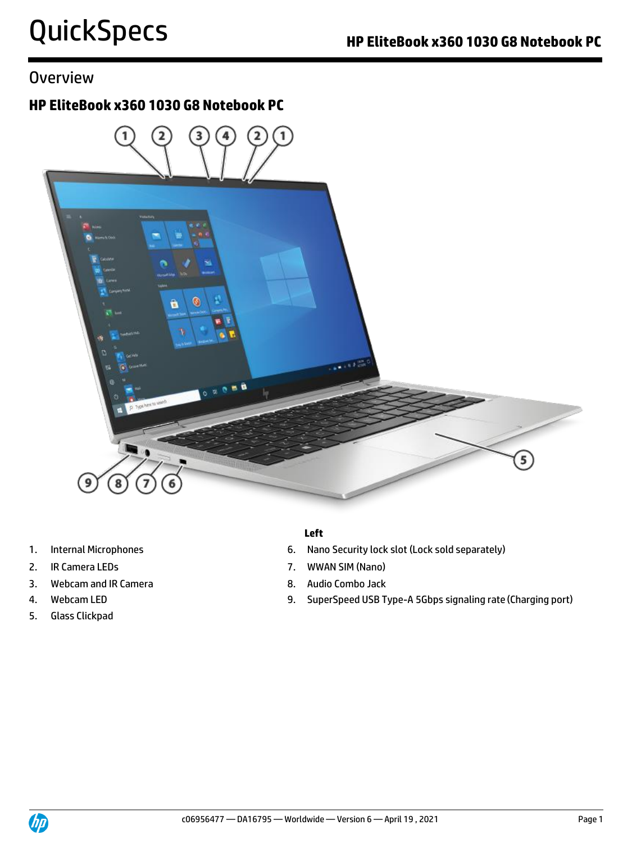## **Overview**

## **HP EliteBook x360 1030 G8 Notebook PC**



- 
- 
- 3. Webcam and IR Camera 8. Audio Combo Jack
- 
- 5. Glass Clickpad

#### **Left**

- 1. Internal Microphones 6. Nano Security lock slot (Lock sold separately)
- 2. IR Camera LEDs 2. IR Camera LEDS
	-
- 4. Webcam LED 9. SuperSpeed USB Type-A 5Gbps signaling rate (Charging port)

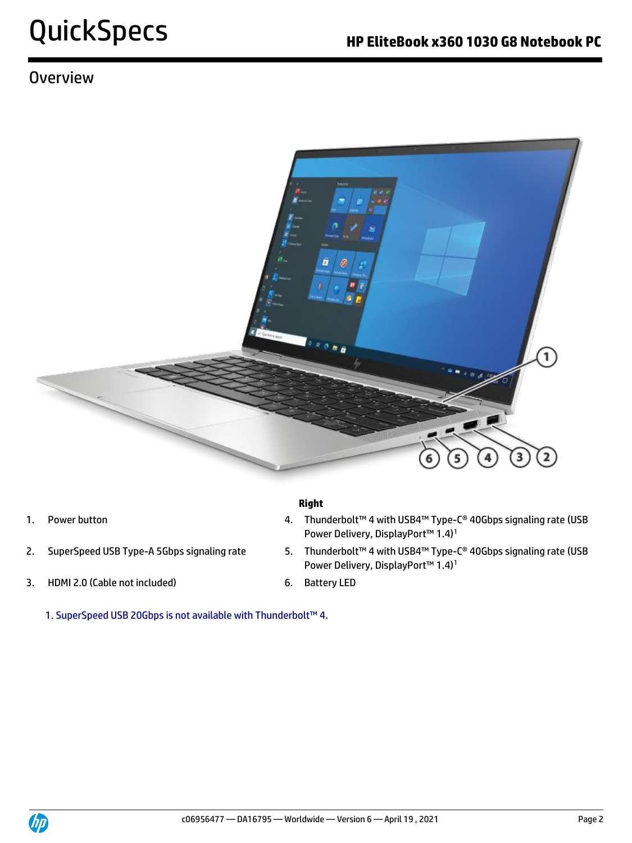## Overview



- 
- 
- 3. HDMI 2.0 (Cable not included) 6. Battery LED
	- 1. SuperSpeed USB 20Gbps is not available with Thunderbolt™ 4.

### **Right**

- 1. Power button and the state of the 4. Thunderbolt™ 4 with USB4™ Type-C® 40Gbps signaling rate (USB Power Delivery, DisplayPort™ 1.4)<sup>1</sup>
- 2. SuperSpeed USB Type-A 5Gbps signaling rate 5. Thunderbolt™ 4 with USB4™ Type-C® 40Gbps signaling rate (USB Power Delivery, DisplayPort™ 1.4)<sup>1</sup>
	-

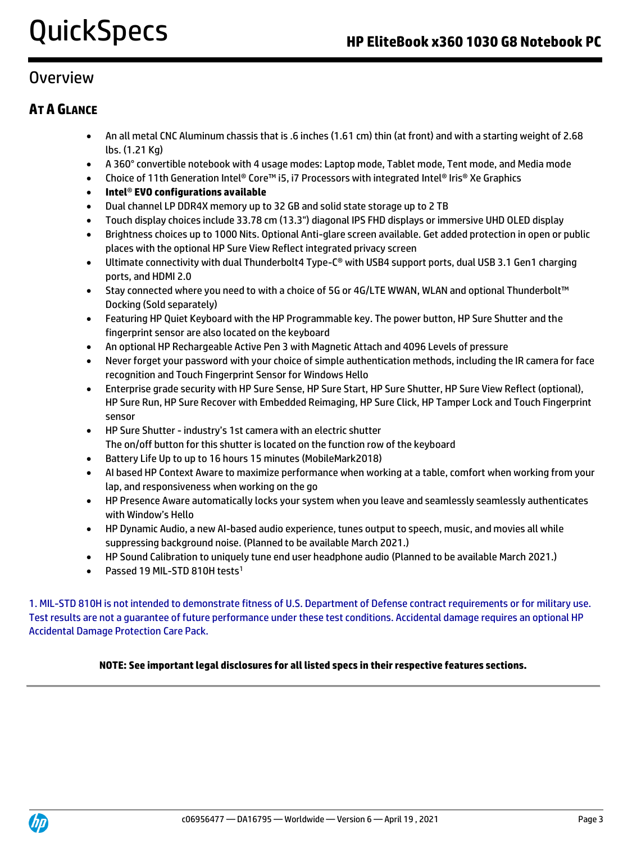## **Overview**

## **AT A GLANCE**

- An all metal CNC Aluminum chassis that is .6 inches (1.61 cm) thin (at front) and with a starting weight of 2.68 lbs. (1.21 Kg)
- A 360° convertible notebook with 4 usage modes: Laptop mode, Tablet mode, Tent mode, and Media mode
- Choice of 11th Generation Intel® Core™ i5, i7 Processors with integrated Intel® Iris® Xe Graphics
- **Intel**® **EVO configurations available**
- Dual channel LP DDR4X memory up to 32 GB and solid state storage up to 2 TB
- Touch display choices include 33.78 cm (13.3") diagonal IPS FHD displays or immersive UHD OLED display
- Brightness choices up to 1000 Nits. Optional Anti-glare screen available. Get added protection in open or public places with the optional HP Sure View Reflect integrated privacy screen
- Ultimate connectivity with dual Thunderbolt4 Type-C® with USB4 support ports, dual USB 3.1 Gen1 charging ports, and HDMI 2.0
- Stay connected where you need to with a choice of 5G or 4G/LTE WWAN, WLAN and optional Thunderbolt™ Docking (Sold separately)
- Featuring HP Quiet Keyboard with the HP Programmable key. The power button, HP Sure Shutter and the fingerprint sensor are also located on the keyboard
- An optional HP Rechargeable Active Pen 3 with Magnetic Attach and 4096 Levels of pressure
- Never forget your password with your choice of simple authentication methods, including the IR camera for face recognition and Touch Fingerprint Sensor for Windows Hello
- Enterprise grade security with HP Sure Sense, HP Sure Start, HP Sure Shutter, HP Sure View Reflect (optional), HP Sure Run, HP Sure Recover with Embedded Reimaging, HP Sure Click, HP Tamper Lock and Touch Fingerprint sensor
- HP Sure Shutter industry's 1st camera with an electric shutter The on/off button for this shutter is located on the function row of the keyboard
- Battery Life Up to up to 16 hours 15 minutes (MobileMark2018)
- AI based HP Context Aware to maximize performance when working at a table, comfort when working from your lap, and responsiveness when working on the go
- HP Presence Aware automatically locks your system when you leave and seamlessly seamlessly authenticates with Window's Hello
- HP Dynamic Audio, a new AI-based audio experience, tunes output to speech, music, and movies all while suppressing background noise. (Planned to be available March 2021.)
- HP Sound Calibration to uniquely tune end user headphone audio (Planned to be available March 2021.)
- Passed 19 MIL-STD 810H tests<sup>1</sup>

1. MIL-STD 810H is not intended to demonstrate fitness of U.S. Department of Defense contract requirements or for military use. Test results are not a guarantee of future performance under these test conditions. Accidental damage requires an optional HP Accidental Damage Protection Care Pack.

## **NOTE: See important legal disclosures for all listed specs in their respective features sections.**

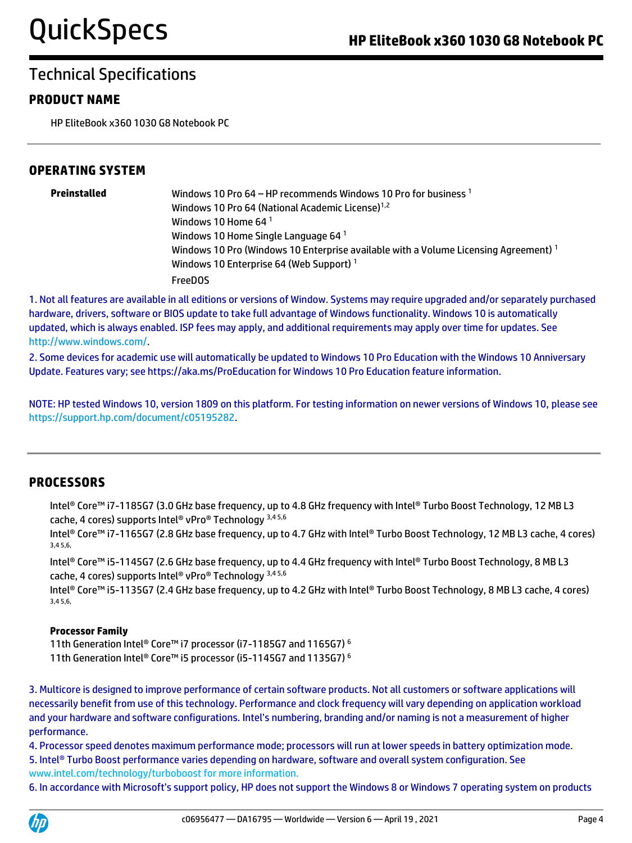## **PRODUCT NAME**

HP EliteBook x360 1030 G8 Notebook PC

## **OPERATING SYSTEM**

| Preinstalled | Windows 10 Pro 64 – HP recommends Windows 10 Pro for business 1                                 |
|--------------|-------------------------------------------------------------------------------------------------|
|              | Windows 10 Pro 64 (National Academic License) <sup>1,2</sup>                                    |
|              | Windows 10 Home 64 $1$                                                                          |
|              | Windows 10 Home Single Language 64 <sup>1</sup>                                                 |
|              | Windows 10 Pro (Windows 10 Enterprise available with a Volume Licensing Agreement) <sup>1</sup> |
|              | Windows 10 Enterprise 64 (Web Support) <sup>1</sup>                                             |
|              | <b>FreeDOS</b>                                                                                  |

1. Not all features are available in all editions or versions of Window. Systems may require upgraded and/or separately purchased hardware, drivers, software or BIOS update to take full advantage of Windows functionality. Windows 10 is automatically updated, which is always enabled. ISP fees may apply, and additional requirements may apply over time for updates. See [http://www.windows.com/.](http://www.windows.com/)

2. Some devices for academic use will automatically be updated to Windows 10 Pro Education with the Windows 10 Anniversary Update. Features vary; see https://aka.ms/ProEducation for Windows 10 Pro Education feature information.

NOTE: HP tested Windows 10, version 1809 on this platform. For testing information on newer versions of Windows 10, please see [https://support.hp.com/document/c05195282.](https://support.hp.com/document/c05195282)

## **PROCESSORS**

Intel® Core™ i7-1185G7 (3.0 GHz base frequency, up to 4.8 GHz frequency with Intel® Turbo Boost Technology, 12 MB L3 cache, 4 cores) supports Intel® vPro® Technology 3,4 5,6

Intel® Core™ i7-1165G7 (2.8 GHz base frequency, up to 4.7 GHz with Intel® Turbo Boost Technology, 12 MB L3 cache, 4 cores) 3,4 5,6,

Intel® Core™ i5-1145G7 (2.6 GHz base frequency, up to 4.4 GHz frequency with Intel® Turbo Boost Technology, 8 MB L3 cache, 4 cores) supports Intel® vPro® Technology 3,4 5,6

Intel® Core™ i5-1135G7 (2.4 GHz base frequency, up to 4.2 GHz with Intel® Turbo Boost Technology, 8 MB L3 cache, 4 cores) 3,4 5,6,

#### **Processor Family**

11th Generation Intel® Core™ i7 processor (i7-1185G7 and 1165G7) <sup>6</sup> 11th Generation Intel® Core™ i5 processor (i5-1145G7 and 1135G7) <sup>6</sup>

3. Multicore is designed to improve performance of certain software products. Not all customers or software applications will necessarily benefit from use of this technology. Performance and clock frequency will vary depending on application workload and your hardware and software configurations. Intel's numbering, branding and/or naming is not a measurement of higher performance.

4. Processor speed denotes maximum performance mode; processors will run at lower speeds in battery optimization mode. 5. Intel® Turbo Boost performance varies depending on hardware, software and overall system configuration. See

www.intel.com/technology/turboboost for more information.

6. In accordance with Microsoft's support policy, HP does not support the Windows 8 or Windows 7 operating system on products

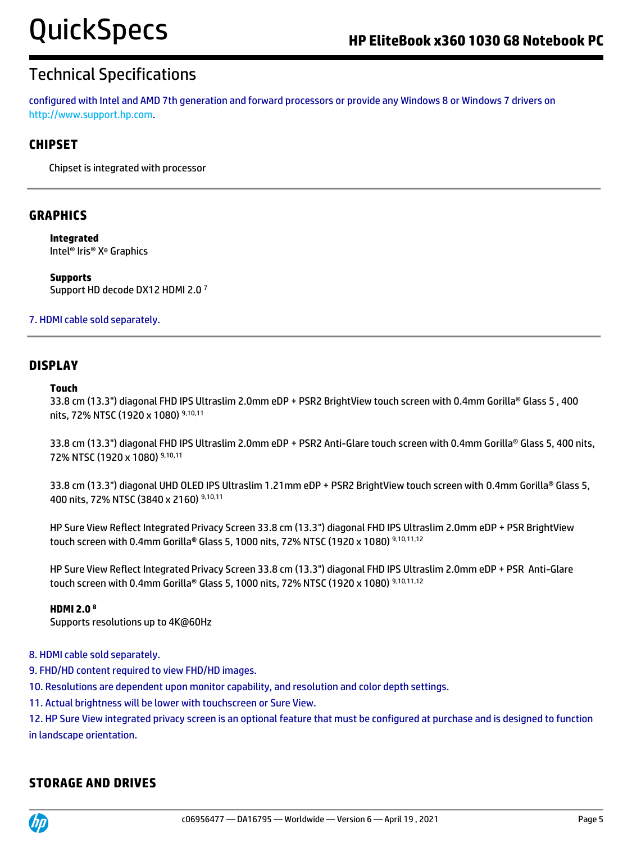## Technical Specifications

configured with Intel and AMD 7th generation and forward processors or provide any Windows 8 or Windows 7 drivers on http://www.support.hp.com.

## **CHIPSET**

Chipset is integrated with processor

### **GRAPHICS**

**Integrated** Intel® Iris® Xᵉ Graphics

**Supports** Support HD decode DX12 HDMI 2.0 <sup>7</sup>

7. HDMI cable sold separately.

### **DISPLAY**

#### **Touch**

33.8 cm (13.3") diagonal FHD IPS Ultraslim 2.0mm eDP + PSR2 BrightView touch screen with 0.4mm Gorilla® Glass 5 , 400 nits, 72% NTSC (1920 x 1080) 9,10,11

33.8 cm (13.3") diagonal FHD IPS Ultraslim 2.0mm eDP + PSR2 Anti-Glare touch screen with 0.4mm Gorilla® Glass 5, 400 nits, 72% NTSC (1920 x 1080) 9,10,11

33.8 cm (13.3") diagonal UHD OLED IPS Ultraslim 1.21mm eDP + PSR2 BrightView touch screen with 0.4mm Gorilla® Glass 5, 400 nits, 72% NTSC (3840 x 2160) 9,10,11

HP Sure View Reflect Integrated Privacy Screen 33.8 cm (13.3") diagonal FHD IPS Ultraslim 2.0mm eDP + PSR BrightView touch screen with 0.4mm Gorilla® Glass 5, 1000 nits, 72% NTSC (1920 x 1080) 9,10,11,12

HP Sure View Reflect Integrated Privacy Screen 33.8 cm (13.3") diagonal FHD IPS Ultraslim 2.0mm eDP + PSR Anti-Glare touch screen with 0.4mm Gorilla® Glass 5, 1000 nits, 72% NTSC (1920 x 1080) 9,10,11,12

#### **HDMI 2.0 8**

Supports resolutions up to 4K@60Hz

#### 8. HDMI cable sold separately.

9. FHD/HD content required to view FHD/HD images.

10. Resolutions are dependent upon monitor capability, and resolution and color depth settings.

11. Actual brightness will be lower with touchscreen or Sure View.

12. HP Sure View integrated privacy screen is an optional feature that must be configured at purchase and is designed to function in landscape orientation.

## **STORAGE AND DRIVES**

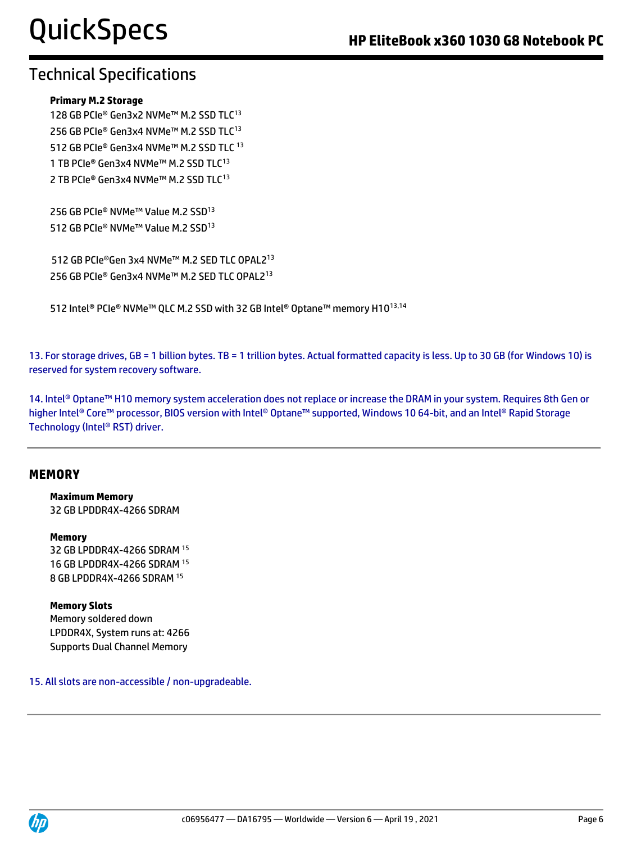### **Primary M.2 Storage**

128 GB PCIe® Gen3x2 NVMe™ M.2 SSD TLC<sup>13</sup> 256 GB PCIe® Gen3x4 NVMe™ M.2 SSD TLC<sup>13</sup> 512 GB PCIe® Gen3x4 NVMe™ M.2 SSD TLC <sup>13</sup> 1 TB PCIe® Gen3x4 NVMe™ M.2 SSD TLC<sup>13</sup> 2 TB PCIe® Gen3x4 NVMe™ M.2 SSD TLC<sup>13</sup>

256 GB PCIe® NVMe™ Value M.2 SSD<sup>13</sup> 512 GB PCIe® NVMe™ Value M.2 SSD<sup>13</sup>

512 GB PCIe®Gen 3x4 NVMe™ M.2 SED TLC OPAL2 13 256 GB PCIe® Gen3x4 NVMe™ M.2 SED TLC OPAL2<sup>13</sup>

512 Intel® PCIe® NVMe™ QLC M.2 SSD with 32 GB Intel® Optane™ memory H1013,14

13. For storage drives, GB = 1 billion bytes. TB = 1 trillion bytes. Actual formatted capacity is less. Up to 30 GB (for Windows 10) is reserved for system recovery software.

14. Intel® Optane™ H10 memory system acceleration does not replace or increase the DRAM in your system. Requires 8th Gen or higher Intel® Core™ processor, BIOS version with Intel® Optane™ supported, Windows 10 64-bit, and an Intel® Rapid Storage Technology (Intel® RST) driver.

### **MEMORY**

#### **Maximum Memory** 32 GB LPDDR4X-4266 SDRAM

#### **Memory**

32 GB LPDDR4X-4266 SDRAM <sup>15</sup> 16 GB LPDDR4X-4266 SDRAM <sup>15</sup> 8 GB LPDDR4X-4266 SDRAM <sup>15</sup>

### **Memory Slots** Memory soldered down LPDDR4X, System runs at: 4266 Supports Dual Channel Memory

15. All slots are non-accessible / non-upgradeable.

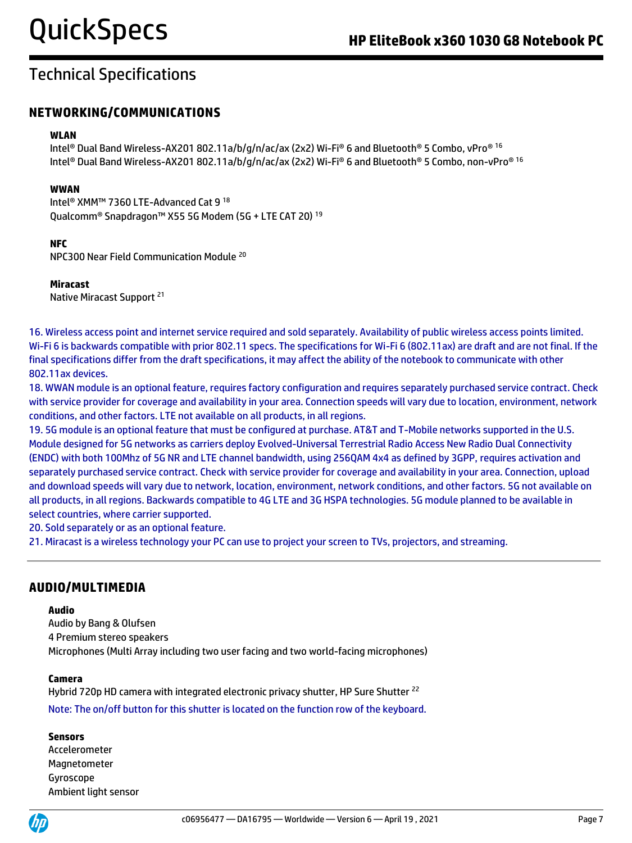## **NETWORKING/COMMUNICATIONS**

#### **WLAN**

Intel® Dual Band Wireless-AX201 802.11a/b/g/n/ac/ax (2x2) Wi-Fi® 6 and Bluetooth® 5 Combo, vPro® 16 Intel® Dual Band Wireless-AX201 802.11a/b/g/n/ac/ax (2x2) Wi-Fi® 6 and Bluetooth® 5 Combo, non-vPro® 16

#### **WWAN**

Intel® XMM™ 7360 LTE-Advanced Cat 9 <sup>18</sup> Qualcomm® Snapdragon™ X55 5G Modem (5G + LTE CAT 20) <sup>19</sup>

#### **NFC**

NPC300 Near Field Communication Module <sup>20</sup>

#### **Miracast**

Native Miracast Support <sup>21</sup>

16. Wireless access point and internet service required and sold separately. Availability of public wireless access points limited. Wi-Fi 6 is backwards compatible with prior 802.11 specs. The specifications for Wi-Fi 6 (802.11ax) are draft and are not final. If the final specifications differ from the draft specifications, it may affect the ability of the notebook to communicate with other 802.11ax devices.

18. WWAN module is an optional feature, requires factory configuration and requires separately purchased service contract. Check with service provider for coverage and availability in your area. Connection speeds will vary due to location, environment, network conditions, and other factors. LTE not available on all products, in all regions.

19. 5G module is an optional feature that must be configured at purchase. AT&T and T-Mobile networks supported in the U.S. Module designed for 5G networks as carriers deploy Evolved-Universal Terrestrial Radio Access New Radio Dual Connectivity (ENDC) with both 100Mhz of 5G NR and LTE channel bandwidth, using 256QAM 4x4 as defined by 3GPP, requires activation and separately purchased service contract. Check with service provider for coverage and availability in your area. Connection, upload and download speeds will vary due to network, location, environment, network conditions, and other factors. 5G not available on all products, in all regions. Backwards compatible to 4G LTE and 3G HSPA technologies. 5G module planned to be available in select countries, where carrier supported.

20. Sold separately or as an optional feature.

21. Miracast is a wireless technology your PC can use to project your screen to TVs, projectors, and streaming.

## **AUDIO/MULTIMEDIA**

#### **Audio**

Audio by Bang & Olufsen 4 Premium stereo speakers Microphones (Multi Array including two user facing and two world-facing microphones)

#### **Camera**

Hybrid 720p HD camera with integrated electronic privacy shutter, HP Sure Shutter <sup>22</sup> Note: The on/off button for this shutter is located on the function row of the keyboard.

#### **Sensors**

Accelerometer Magnetometer Gyroscope Ambient light sensor

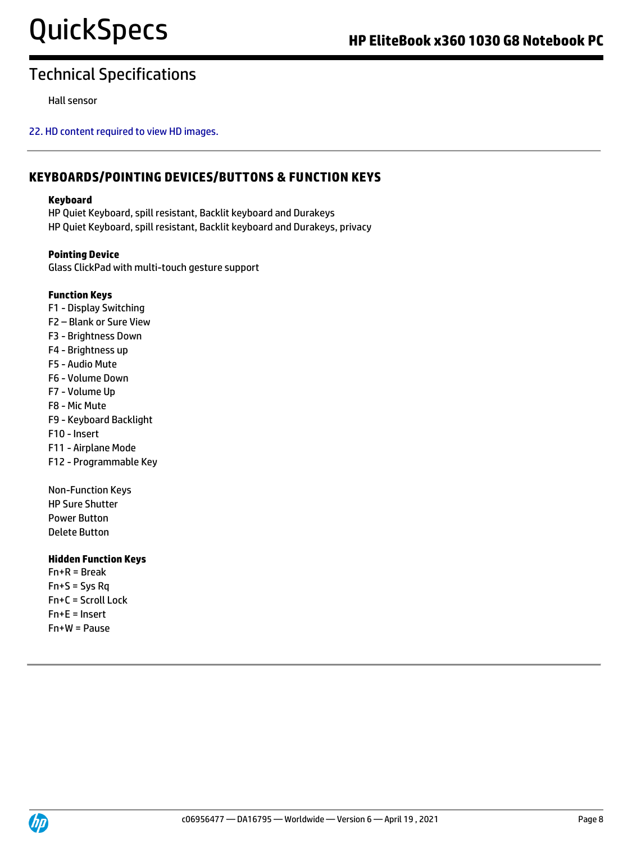Hall sensor

22. HD content required to view HD images.

## **KEYBOARDS/POINTING DEVICES/BUTTONS & FUNCTION KEYS**

#### **Keyboard**

HP Quiet Keyboard, spill resistant, Backlit keyboard and Durakeys HP Quiet Keyboard, spill resistant, Backlit keyboard and Durakeys, privacy

#### **Pointing Device**

Glass ClickPad with multi-touch gesture support

#### **Function Keys**

- F1 Display Switching
- F2 Blank or Sure View
- F3 Brightness Down
- F4 Brightness up
- F5 Audio Mute
- F6 Volume Down
- F7 Volume Up
- F8 Mic Mute
- F9 Keyboard Backlight
- F10 Insert
- F11 Airplane Mode
- F12 Programmable Key

Non-Function Keys HP Sure Shutter Power Button Delete Button

#### **Hidden Function Keys**

Fn+R = Break  $Fn+S = Sys$  Rq Fn+C = Scroll Lock Fn+E = Insert Fn+W = Pause

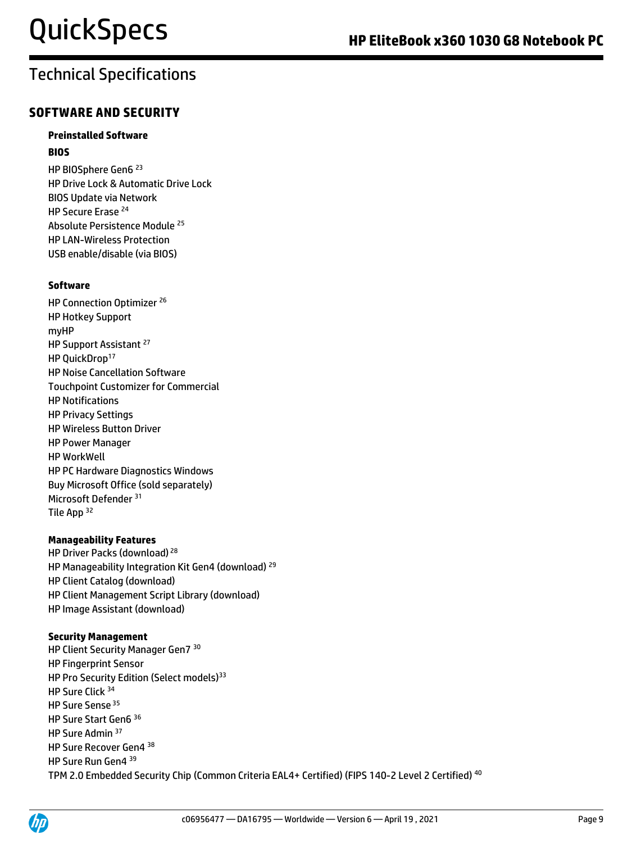## **SOFTWARE AND SECURITY**

### **Preinstalled Software**

### **BIOS**

HP BIOSphere Gen6 <sup>23</sup> HP Drive Lock & Automatic Drive Lock BIOS Update via Network HP Secure Erase <sup>24</sup> Absolute Persistence Module <sup>25</sup> HP LAN-Wireless Protection USB enable/disable (via BIOS)

### **Software**

HP Connection Optimizer <sup>26</sup> HP Hotkey Support myHP HP Support Assistant <sup>27</sup> HP QuickDrop<sup>17</sup> HP Noise Cancellation Software Touchpoint Customizer for Commercial HP Notifications HP Privacy Settings HP Wireless Button Driver HP Power Manager HP WorkWell HP PC Hardware Diagnostics Windows Buy Microsoft Office (sold separately) Microsoft Defender <sup>31</sup> Tile App <sup>32</sup>

### **Manageability Features**

HP Driver Packs (download) <sup>28</sup> HP Manageability Integration Kit Gen4 (download) <sup>29</sup> HP Client Catalog (download) HP Client Management Script Library (download) HP Image Assistant (download)

### **Security Management**

HP Client Security Manager Gen7 30 HP Fingerprint Sensor HP Pro Security Edition (Select models)<sup>33</sup> HP Sure Click 34 HP Sure Sense <sup>35</sup> HP Sure Start Gen6 <sup>36</sup> HP Sure Admin <sup>37</sup> HP Sure Recover Gen4 <sup>38</sup> HP Sure Run Gen4 39 TPM 2.0 Embedded Security Chip (Common Criteria EAL4+ Certified) (FIPS 140-2 Level 2 Certified) <sup>40</sup>

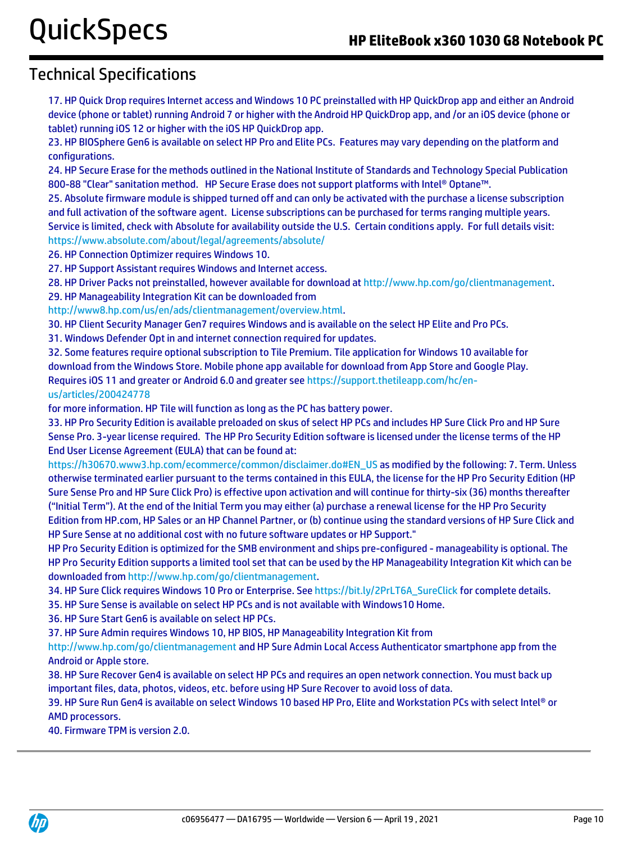## Technical Specifications

17. HP Quick Drop requires Internet access and Windows 10 PC preinstalled with HP QuickDrop app and either an Android device (phone or tablet) running Android 7 or higher with the Android HP QuickDrop app, and /or an iOS device (phone or tablet) running iOS 12 or higher with the iOS HP QuickDrop app.

23. HP BIOSphere Gen6 is available on select HP Pro and Elite PCs. Features may vary depending on the platform and configurations.

24. HP Secure Erase for the methods outlined in the National Institute of Standards and Technology Special Publication 800-88 "Clear" sanitation method. HP Secure Erase does not support platforms with Intel® Optane™.

25. Absolute firmware module is shipped turned off and can only be activated with the purchase a license subscription and full activation of the software agent. License subscriptions can be purchased for terms ranging multiple years. Service is limited, check with Absolute for availability outside the U.S. Certain conditions apply. For full details visit: <https://www.absolute.com/about/legal/agreements/absolute/>

26. HP Connection Optimizer requires Windows 10.

27. HP Support Assistant requires Windows and Internet access.

28. HP Driver Packs not preinstalled, however available for download at [http://www.hp.com/go/clientmanagement.](http://www.hp.com/go/clientmanagement) 29. HP Manageability Integration Kit can be downloaded from

[http://www8.hp.com/us/en/ads/clientmanagement/overview.html.](http://www8.hp.com/us/en/ads/clientmanagement/overview.html)

30. HP Client Security Manager Gen7 requires Windows and is available on the select HP Elite and Pro PCs.

31. Windows Defender Opt in and internet connection required for updates.

32. Some features require optional subscription to Tile Premium. Tile application for Windows 10 available for download from the Windows Store. Mobile phone app available for download from App Store and Google Play. Requires iOS 11 and greater or Android 6.0 and greater see https://support.thetileapp.com/hc/enus/articles/200424778

for more information. HP Tile will function as long as the PC has battery power.

33. HP Pro Security Edition is available preloaded on skus of select HP PCs and includes HP Sure Click Pro and HP Sure Sense Pro. 3-year license required. The HP Pro Security Edition software is licensed under the license terms of the HP End User License Agreement (EULA) that can be found at:

[https://h30670.www3.hp.com/ecommerce/common/disclaimer.do#EN\\_US](https://h30670.www3.hp.com/ecommerce/common/disclaimer.do#EN_US) as modified by the following: 7. Term. Unless otherwise terminated earlier pursuant to the terms contained in this EULA, the license for the HP Pro Security Edition (HP Sure Sense Pro and HP Sure Click Pro) is effective upon activation and will continue for thirty-six (36) months thereafter ("Initial Term"). At the end of the Initial Term you may either (a) purchase a renewal license for the HP Pro Security Edition from HP.com, HP Sales or an HP Channel Partner, or (b) continue using the standard versions of HP Sure Click and HP Sure Sense at no additional cost with no future software updates or HP Support."

HP Pro Security Edition is optimized for the SMB environment and ships pre-configured - manageability is optional. The HP Pro Security Edition supports a limited tool set that can be used by the HP Manageability Integration Kit which can be downloaded fro[m http://www.hp.com/go/clientmanagement.](http://www.hp.com/go/clientmanagement)

34. HP Sure Click requires Windows 10 Pro or Enterprise. See [https://bit.ly/2PrLT6A\\_SureClick](https://bit.ly/2PrLT6A_SureClick) for complete details.

35. HP Sure Sense is available on select HP PCs and is not available with Windows10 Home.

36. HP Sure Start Gen6 is available on select HP PCs.

37. HP Sure Admin requires Windows 10, HP BIOS, HP Manageability Integration Kit from

<http://www.hp.com/go/clientmanagement> and HP Sure Admin Local Access Authenticator smartphone app from the Android or Apple store.

38. HP Sure Recover Gen4 is available on select HP PCs and requires an open network connection. You must back up important files, data, photos, videos, etc. before using HP Sure Recover to avoid loss of data.

39. HP Sure Run Gen4 is available on select Windows 10 based HP Pro, Elite and Workstation PCs with select Intel® or AMD processors.

40. Firmware TPM is version 2.0.

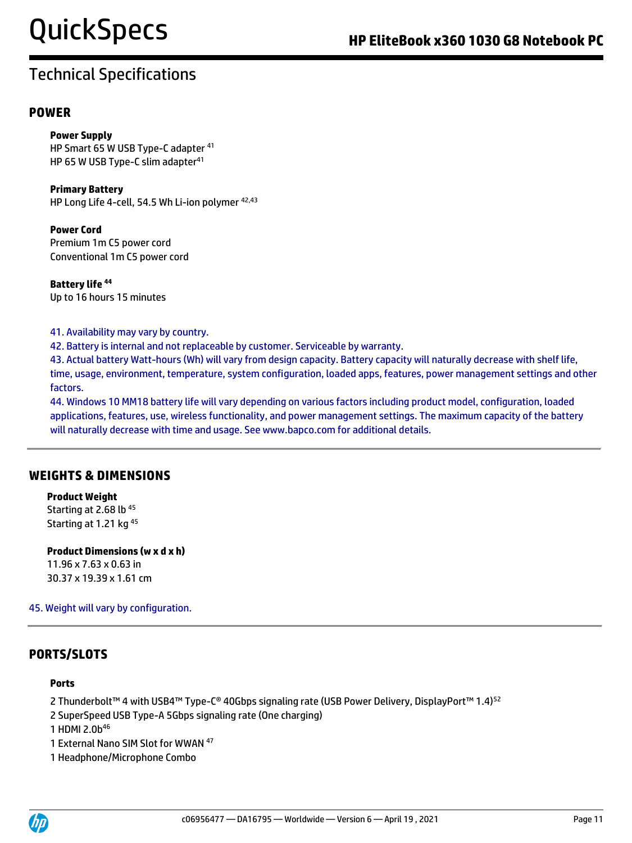### **POWER**

#### **Power Supply**

HP Smart 65 W USB Type-C adapter <sup>41</sup> HP 65 W USB Type-C slim adapter $41$ 

#### **Primary Battery**

HP Long Life 4-cell, 54.5 Wh Li-ion polymer <sup>42,43</sup>

#### **Power Cord** Premium 1m C5 power cord Conventional 1m C5 power cord

**Battery life <sup>44</sup>** Up to 16 hours 15 minutes

- 41. Availability may vary by country.
- 42. Battery is internal and not replaceable by customer. Serviceable by warranty.

43. Actual battery Watt-hours (Wh) will vary from design capacity. Battery capacity will naturally decrease with shelf life, time, usage, environment, temperature, system configuration, loaded apps, features, power management settings and other factors.

44. Windows 10 MM18 battery life will vary depending on various factors including product model, configuration, loaded applications, features, use, wireless functionality, and power management settings. The maximum capacity of the battery will naturally decrease with time and usage. See www.bapco.com for additional details.

## **WEIGHTS & DIMENSIONS**

#### **Product Weight** Starting at 2.68 lb<sup>45</sup>

Starting at 1.21 kg<sup>45</sup>

**Product Dimensions (w x d x h)** 11.96 x 7.63 x 0.63 in 30.37 x 19.39 x 1.61 cm

45. Weight will vary by configuration.

## **PORTS/SLOTS**

#### **Ports**

- 2 Thunderbolt™ 4 with USB4™ Type-C® 40Gbps signaling rate (USB Power Delivery, DisplayPort™ 1.4)<sup>52</sup>
- 2 SuperSpeed USB Type-A 5Gbps signaling rate (One charging)
- 1 HDMI 2.0b 46
- 1 External Nano SIM Slot for WWAN <sup>47</sup>
- 1 Headphone/Microphone Combo

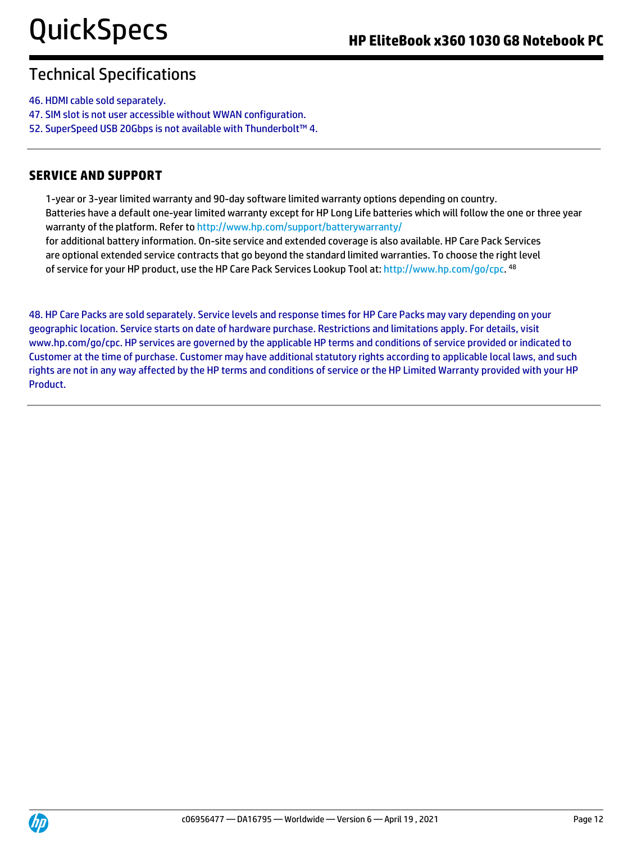- 46. HDMI cable sold separately.
- 47. SIM slot is not user accessible without WWAN configuration.
- 52. SuperSpeed USB 20Gbps is not available with Thunderbolt™ 4.

## **SERVICE AND SUPPORT**

1-year or 3-year limited warranty and 90-day software limited warranty options depending on country. Batteries have a default one-year limited warranty except for HP Long Life batteries which will follow the one or three year warranty of the platform. Refer t[o http://www.hp.com/support/batterywarranty/](http://www.hp.com/support/batterywarranty/) for additional battery information. On-site service and extended coverage is also available. HP Care Pack Services are optional extended service contracts that go beyond the standard limited warranties. To choose the right level of service for your HP product, use the HP Care Pack Services Lookup Tool at[: http://www.hp.com/go/cpc.](http://www.hp.com/go/cpc) <sup>48</sup>

48. HP Care Packs are sold separately. Service levels and response times for HP Care Packs may vary depending on your geographic location. Service starts on date of hardware purchase. Restrictions and limitations apply. For details, visit www.hp.com/go/cpc. HP services are governed by the applicable HP terms and conditions of service provided or indicated to Customer at the time of purchase. Customer may have additional statutory rights according to applicable local laws, and such rights are not in any way affected by the HP terms and conditions of service or the HP Limited Warranty provided with your HP Product.

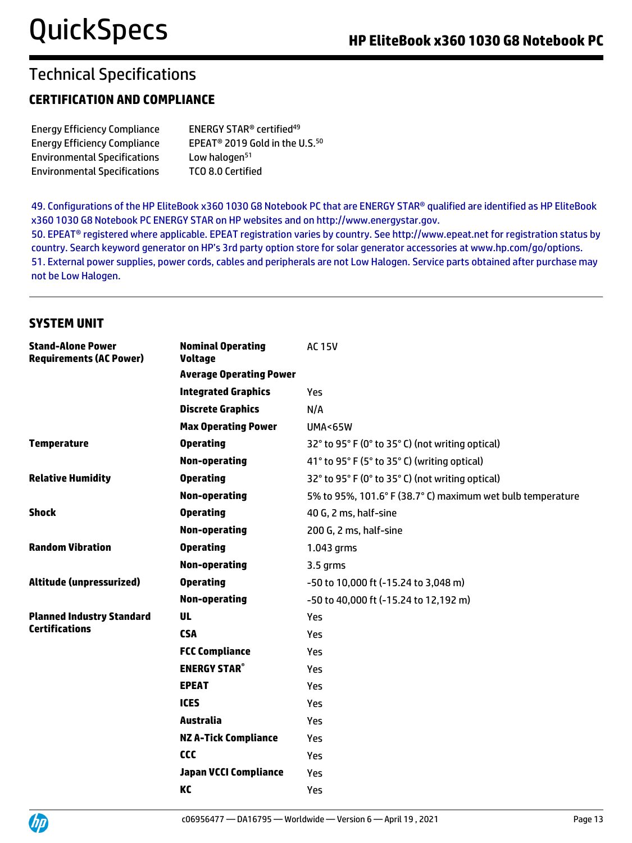## **CERTIFICATION AND COMPLIANCE**

| <b>Energy Efficiency Compliance</b> | <b>ENERGY STAR<sup>®</sup> certified<sup>49</sup></b>  |
|-------------------------------------|--------------------------------------------------------|
| <b>Energy Efficiency Compliance</b> | EPEAT <sup>®</sup> 2019 Gold in the U.S. <sup>50</sup> |
| <b>Environmental Specifications</b> | Low halogen <sup>51</sup>                              |
| <b>Environmental Specifications</b> | TCO 8.0 Certified                                      |

49. Configurations of the HP EliteBook x360 1030 G8 Notebook PC that are ENERGY STAR® qualified are identified as HP EliteBook x360 1030 G8 Notebook PC ENERGY STAR on HP websites and on http://www.energystar.gov.

50. EPEAT® registered where applicable. EPEAT registration varies by country. See http://www.epeat.net for registration status by country. Search keyword generator on HP's 3rd party option store for solar generator accessories at www.hp.com/go/options. 51. External power supplies, power cords, cables and peripherals are not Low Halogen. Service parts obtained after purchase may not be Low Halogen.

## **SYSTEM UNIT**

| <b>Stand-Alone Power</b><br><b>Requirements (AC Power)</b> | <b>Nominal Operating</b><br><b>Voltage</b> | <b>AC 15V</b>                                              |
|------------------------------------------------------------|--------------------------------------------|------------------------------------------------------------|
|                                                            | <b>Average Operating Power</b>             |                                                            |
|                                                            | <b>Integrated Graphics</b>                 | Yes                                                        |
|                                                            | <b>Discrete Graphics</b>                   | N/A                                                        |
|                                                            | <b>Max Operating Power</b>                 | <b>UMA&lt;65W</b>                                          |
| <b>Temperature</b>                                         | <b>Operating</b>                           | 32° to 95° F (0° to 35° C) (not writing optical)           |
|                                                            | <b>Non-operating</b>                       | 41° to 95° F (5° to 35° C) (writing optical)               |
| <b>Relative Humidity</b>                                   | <b>Operating</b>                           | 32° to 95° F (0° to 35° C) (not writing optical)           |
|                                                            | <b>Non-operating</b>                       | 5% to 95%, 101.6° F (38.7° C) maximum wet bulb temperature |
| <b>Shock</b>                                               | <b>Operating</b>                           | 40 G, 2 ms, half-sine                                      |
|                                                            | <b>Non-operating</b>                       | 200 G, 2 ms, half-sine                                     |
| <b>Random Vibration</b>                                    | <b>Operating</b>                           | 1.043 grms                                                 |
|                                                            | Non-operating                              | 3.5 grms                                                   |
| Altitude (unpressurized)                                   | <b>Operating</b>                           | -50 to 10,000 ft (-15.24 to 3,048 m)                       |
|                                                            | <b>Non-operating</b>                       | -50 to 40,000 ft (-15.24 to 12,192 m)                      |
| <b>Planned Industry Standard</b>                           | <b>UL</b>                                  | Yes                                                        |
| <b>Certifications</b>                                      | <b>CSA</b>                                 | Yes                                                        |
|                                                            | <b>FCC Compliance</b>                      | Yes                                                        |
|                                                            | <b>ENERGY STAR®</b>                        | Yes                                                        |
|                                                            | <b>EPEAT</b>                               | Yes                                                        |
|                                                            | <b>ICES</b>                                | Yes                                                        |
|                                                            | <b>Australia</b>                           | Yes                                                        |
|                                                            | <b>NZ A-Tick Compliance</b>                | Yes                                                        |
|                                                            | <b>CCC</b>                                 | Yes                                                        |
|                                                            | <b>Japan VCCI Compliance</b>               | Yes                                                        |
|                                                            | КC                                         | Yes                                                        |

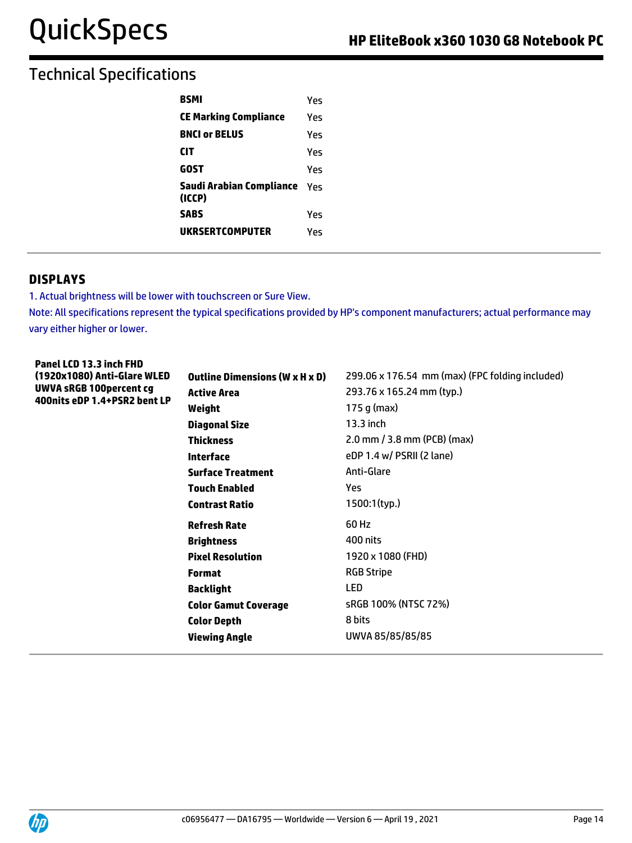| BSMI                               | Υρς |
|------------------------------------|-----|
| CE Marking Compliance              | Yes |
| <b>BNCI or BELUS</b>               | Υρς |
| CIT                                | Yes |
| GOST                               | Υρς |
| Saudi Arabian Compliance<br>(ICCP) | Yes |
| <b>SABS</b>                        | Υρς |
| UKRSERTCOMPUTER                    | Υρς |
|                                    |     |

## **DISPLAYS**

1. Actual brightness will be lower with touchscreen or Sure View.

Note: All specifications represent the typical specifications provided by HP's component manufacturers; actual performance may vary either higher or lower.

| Panel LCD 13.3 inch FHD        |                                       |                                                 |
|--------------------------------|---------------------------------------|-------------------------------------------------|
| (1920x1080) Anti-Glare WLED    | <b>Outline Dimensions (W x H x D)</b> | 299.06 x 176.54 mm (max) (FPC folding included) |
| <b>UWVA sRGB 100percent cg</b> | <b>Active Area</b>                    | 293.76 x 165.24 mm (typ.)                       |
| 400nits eDP 1.4+PSR2 bent LP   | Weight                                | 175 g (max)                                     |
|                                | <b>Diagonal Size</b>                  | $13.3$ inch                                     |
|                                | <b>Thickness</b>                      | $2.0$ mm $/$ 3.8 mm (PCB) (max)                 |
|                                | <b>Interface</b>                      | eDP 1.4 w/ PSRII (2 lane)                       |
|                                | <b>Surface Treatment</b>              | Anti-Glare                                      |
|                                | <b>Touch Enabled</b>                  | Yes                                             |
|                                | <b>Contrast Ratio</b>                 | 1500:1(typ.)                                    |
|                                | <b>Refresh Rate</b>                   | 60 Hz                                           |
|                                | <b>Brightness</b>                     | 400 nits                                        |
|                                | <b>Pixel Resolution</b>               | 1920 x 1080 (FHD)                               |
|                                | <b>Format</b>                         | <b>RGB Stripe</b>                               |
|                                | <b>Backlight</b>                      | <b>LED</b>                                      |
|                                | <b>Color Gamut Coverage</b>           | sRGB 100% (NTSC 72%)                            |
|                                | <b>Color Depth</b>                    | 8 bits                                          |
|                                | <b>Viewing Angle</b>                  | UWVA 85/85/85/85                                |

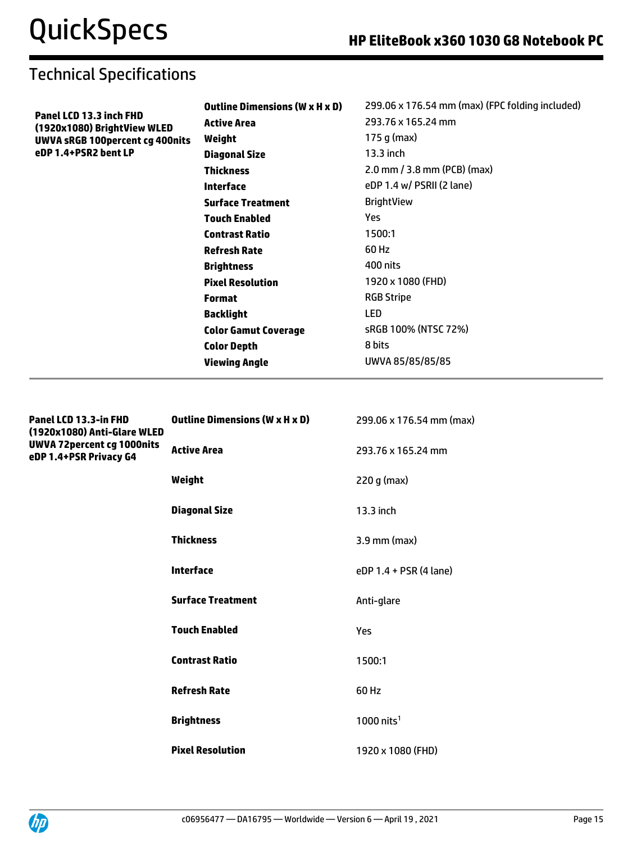|                                                        | <b>Outline Dimensions (W x H x D)</b> | 299.06 x 176.54 mm (max) (FPC folding included) |
|--------------------------------------------------------|---------------------------------------|-------------------------------------------------|
| Panel LCD 13.3 inch FHD<br>(1920x1080) BrightView WLED | <b>Active Area</b>                    | 293.76 x 165.24 mm                              |
| <b>UWVA sRGB 100percent cg 400nits</b>                 | Weight                                | 175 g (max)                                     |
| eDP 1.4+PSR2 bent LP                                   | <b>Diagonal Size</b>                  | 13.3 inch                                       |
|                                                        | <b>Thickness</b>                      | 2.0 mm / 3.8 mm (PCB) (max)                     |
|                                                        | <b>Interface</b>                      | eDP 1.4 w/ PSRII (2 lane)                       |
|                                                        | <b>Surface Treatment</b>              | <b>BrightView</b>                               |
|                                                        | <b>Touch Enabled</b>                  | Yes                                             |
|                                                        | <b>Contrast Ratio</b>                 | 1500:1                                          |
|                                                        | <b>Refresh Rate</b>                   | 60 Hz                                           |
|                                                        | <b>Brightness</b>                     | 400 nits                                        |
|                                                        | <b>Pixel Resolution</b>               | 1920 x 1080 (FHD)                               |
|                                                        | <b>Format</b>                         | <b>RGB Stripe</b>                               |
|                                                        | <b>Backlight</b>                      | <b>LED</b>                                      |
|                                                        | <b>Color Gamut Coverage</b>           | sRGB 100% (NTSC 72%)                            |
|                                                        | <b>Color Depth</b>                    | 8 bits                                          |
|                                                        | <b>Viewing Angle</b>                  | UWVA 85/85/85/85                                |
|                                                        |                                       |                                                 |
| Panel LCD 13.3-in FHD<br>(1920x1080) Anti-Glare WLED   | <b>Outline Dimensions (W x H x D)</b> | 299.06 x 176.54 mm (max)                        |
| UWVA 72percent cg 1000nits<br>eDP 1.4+PSR Privacy G4   | <b>Active Area</b>                    | 293.76 x 165.24 mm                              |
|                                                        | Weight                                | $220 g$ (max)                                   |
|                                                        | <b>Diagonal Size</b>                  | 13.3 inch                                       |
|                                                        | <b>Thickness</b>                      | $3.9$ mm (max)                                  |
|                                                        | Interface                             | eDP 1.4 + PSR (4 lane)                          |
|                                                        | <b>Surface Treatment</b>              | Anti-glare                                      |

**Touch Enabled** Yes **Contrast Ratio** 1500:1

**Refresh Rate** 60 Hz

**Brightness** 1000 nits<sup>1</sup>

**Pixel Resolution** 1920 x 1080 (FHD)



÷.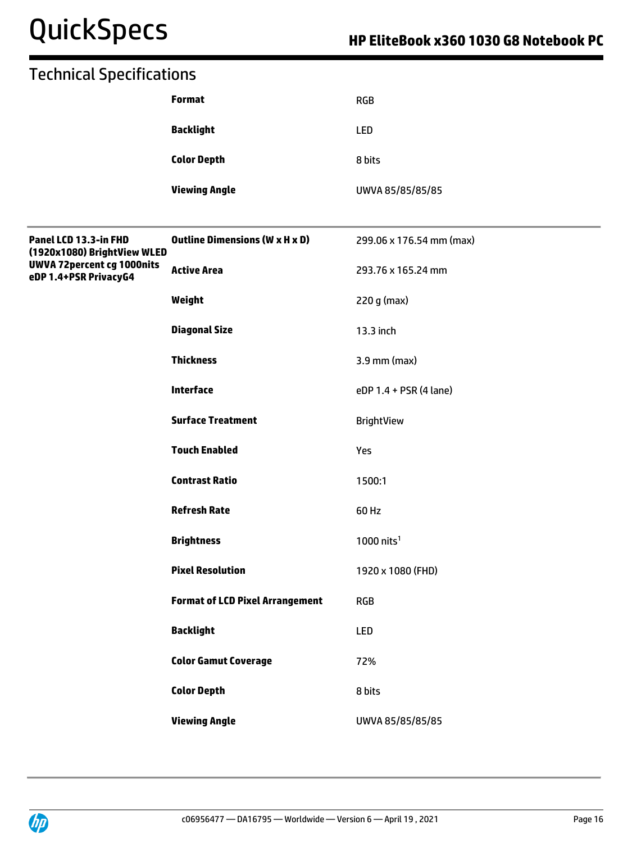|                                                                                           | <b>Format</b>                          | <b>RGB</b>               |
|-------------------------------------------------------------------------------------------|----------------------------------------|--------------------------|
|                                                                                           | <b>Backlight</b>                       | LED                      |
|                                                                                           | <b>Color Depth</b>                     | 8 bits                   |
|                                                                                           | <b>Viewing Angle</b>                   | UWVA 85/85/85/85         |
| Panel LCD 13.3-in FHD                                                                     | <b>Outline Dimensions (W x H x D)</b>  | 299.06 x 176.54 mm (max) |
| (1920x1080) BrightView WLED<br><b>UWVA 72percent cg 1000nits</b><br>eDP 1.4+PSR PrivacyG4 | <b>Active Area</b>                     | 293.76 x 165.24 mm       |
|                                                                                           | Weight                                 | 220 g (max)              |
|                                                                                           | <b>Diagonal Size</b>                   | 13.3 inch                |
|                                                                                           | <b>Thickness</b>                       | $3.9$ mm (max)           |
|                                                                                           | <b>Interface</b>                       | eDP 1.4 + PSR (4 lane)   |
|                                                                                           | <b>Surface Treatment</b>               | <b>BrightView</b>        |
|                                                                                           | <b>Touch Enabled</b>                   | Yes                      |
|                                                                                           | <b>Contrast Ratio</b>                  | 1500:1                   |
|                                                                                           | <b>Refresh Rate</b>                    | 60 Hz                    |
|                                                                                           | <b>Brightness</b>                      | $1000$ nits <sup>1</sup> |
|                                                                                           | <b>Pixel Resolution</b>                | 1920 x 1080 (FHD)        |
|                                                                                           | <b>Format of LCD Pixel Arrangement</b> | RGB                      |
|                                                                                           | <b>Backlight</b>                       | LED                      |
|                                                                                           | <b>Color Gamut Coverage</b>            | 72%                      |
|                                                                                           | <b>Color Depth</b>                     | 8 bits                   |
|                                                                                           | <b>Viewing Angle</b>                   | UWVA 85/85/85/85         |

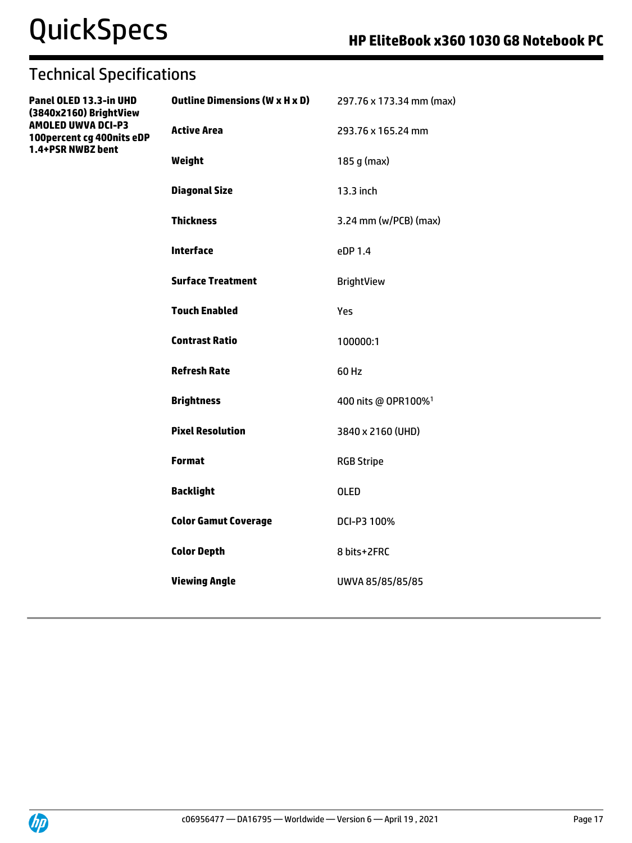| Panel OLED 13.3-in UHD<br>(3840x2160) BrightView         | <b>Outline Dimensions (W x H x D)</b> | 297.76 x 173.34 mm (max)        |
|----------------------------------------------------------|---------------------------------------|---------------------------------|
| <b>AMOLED UWVA DCI-P3</b><br>100 percent cg 400 nits eDP | <b>Active Area</b>                    | 293.76 x 165.24 mm              |
| 1.4+PSR NWBZ bent                                        | Weight                                | 185 g (max)                     |
|                                                          | <b>Diagonal Size</b>                  | 13.3 inch                       |
|                                                          | <b>Thickness</b>                      | 3.24 mm (w/PCB) (max)           |
|                                                          | <b>Interface</b>                      | eDP 1.4                         |
|                                                          | <b>Surface Treatment</b>              | <b>BrightView</b>               |
|                                                          | <b>Touch Enabled</b>                  | Yes                             |
|                                                          | <b>Contrast Ratio</b>                 | 100000:1                        |
|                                                          | <b>Refresh Rate</b>                   | 60 Hz                           |
|                                                          | <b>Brightness</b>                     | 400 nits @ OPR100% <sup>1</sup> |
|                                                          | <b>Pixel Resolution</b>               | 3840 x 2160 (UHD)               |
|                                                          | <b>Format</b>                         | <b>RGB Stripe</b>               |
|                                                          | <b>Backlight</b>                      | <b>OLED</b>                     |
|                                                          | <b>Color Gamut Coverage</b>           | DCI-P3 100%                     |
|                                                          | <b>Color Depth</b>                    | 8 bits+2FRC                     |
|                                                          | <b>Viewing Angle</b>                  | UWVA 85/85/85/85                |

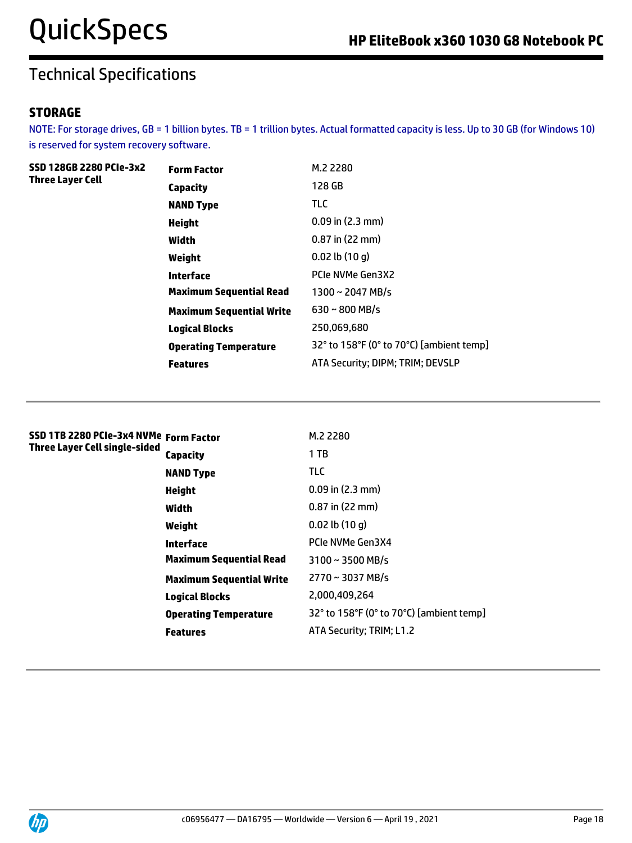## **STORAGE**

NOTE: For storage drives, GB = 1 billion bytes. TB = 1 trillion bytes. Actual formatted capacity is less. Up to 30 GB (for Windows 10) is reserved for system recovery software.

| SSD 128GB 2280 PCIe-3x2 | <b>Form Factor</b>              | M.2 2280                                 |
|-------------------------|---------------------------------|------------------------------------------|
| Three Layer Cell        | Capacity                        | 128 GB                                   |
|                         | <b>NAND Type</b>                | <b>TLC</b>                               |
|                         | Height                          | $0.09$ in (2.3 mm)                       |
|                         | Width                           | $0.87$ in (22 mm)                        |
|                         | Weight                          | $0.02$ lb $(10q)$                        |
|                         | <b>Interface</b>                | <b>PCIe NVMe Gen3X2</b>                  |
|                         | <b>Maximum Sequential Read</b>  | $1300 \sim 2047 \text{ MB/s}$            |
|                         | <b>Maximum Sequential Write</b> | $630 \sim 800$ MB/s                      |
|                         | <b>Logical Blocks</b>           | 250,069,680                              |
|                         | <b>Operating Temperature</b>    | 32° to 158°F (0° to 70°C) [ambient temp] |
|                         | <b>Features</b>                 | ATA Security; DIPM; TRIM; DEVSLP         |

| SSD 1TB 2280 PCIe-3x4 NVMe Form Factor |                                 | M.2 2280                                 |
|----------------------------------------|---------------------------------|------------------------------------------|
| Three Layer Cell single-sided          | Capacity                        | 1 TB                                     |
|                                        | <b>NAND Type</b>                | <b>TLC</b>                               |
|                                        | <b>Height</b>                   | $0.09$ in $(2.3$ mm)                     |
|                                        | Width                           | $0.87$ in (22 mm)                        |
|                                        | Weight                          | $0.02$ lb $(10q)$                        |
|                                        | Interface                       | PCIe NVMe Gen3X4                         |
|                                        | <b>Maximum Sequential Read</b>  | $3100 \sim 3500$ MB/s                    |
|                                        | <b>Maximum Sequential Write</b> | 2770~3037 MB/s                           |
|                                        | <b>Logical Blocks</b>           | 2,000,409,264                            |
|                                        | <b>Operating Temperature</b>    | 32° to 158°F (0° to 70°C) [ambient temp] |
|                                        | <b>Features</b>                 | ATA Security; TRIM; L1.2                 |
|                                        |                                 |                                          |

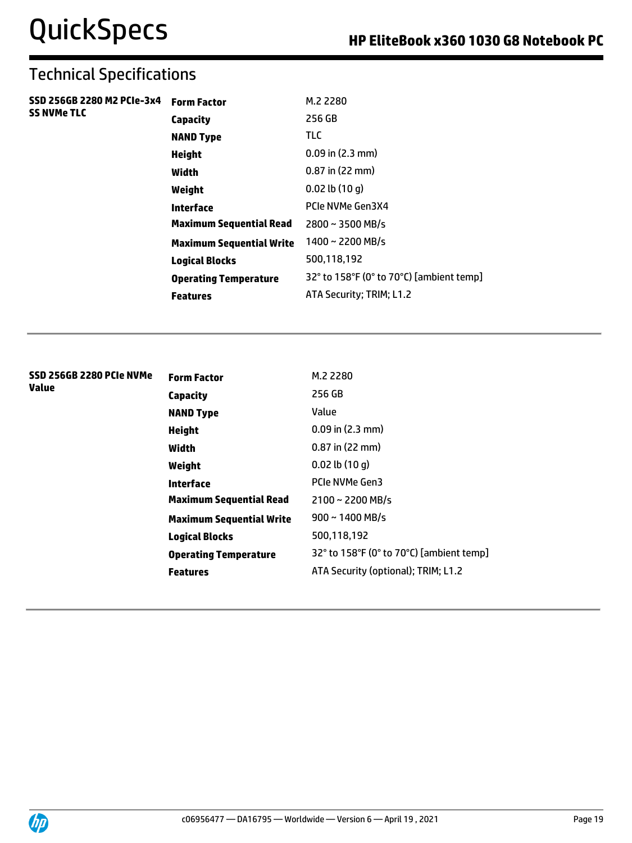**SSD 256GB 2280 M2 PCIe-3x4** 

**SS NVMe TLC**

| <b>Form Factor</b>              | M.2 2280                                 |
|---------------------------------|------------------------------------------|
| Capacity                        | 256 GB                                   |
| <b>NAND Type</b>                | <b>TLC</b>                               |
| <b>Height</b>                   | $0.09$ in $(2.3$ mm)                     |
| Width                           | $0.87$ in (22 mm)                        |
| Weight                          | $0.02$ lb $(10q)$                        |
| <b>Interface</b>                | PCIe NVMe Gen3X4                         |
| <b>Maximum Sequential Read</b>  | $2800 \sim 3500$ MB/s                    |
| <b>Maximum Sequential Write</b> | 1400~2200 MB/s                           |
| <b>Logical Blocks</b>           | 500,118,192                              |
| <b>Operating Temperature</b>    | 32° to 158°F (0° to 70°C) [ambient temp] |
| <b>Features</b>                 | ATA Security; TRIM; L1.2                 |
|                                 |                                          |

| SSD 256GB 2280 PCIe NVMe | <b>Form Factor</b>              | M.2 2280                                 |
|--------------------------|---------------------------------|------------------------------------------|
| Value                    | <b>Capacity</b>                 | 256 GB                                   |
|                          | <b>NAND Type</b>                | Value                                    |
|                          | <b>Height</b>                   | $0.09$ in (2.3 mm)                       |
|                          | Width                           | $0.87$ in (22 mm)                        |
|                          | Weight                          | $0.02$ lb $(10q)$                        |
|                          | Interface                       | <b>PCIe NVMe Gen3</b>                    |
|                          | Maximum Sequential Read         | $2100 \sim 2200$ MB/s                    |
|                          | <b>Maximum Sequential Write</b> | $900 \sim 1400$ MB/s                     |
|                          | <b>Logical Blocks</b>           | 500,118,192                              |
|                          | <b>Operating Temperature</b>    | 32° to 158°F (0° to 70°C) [ambient temp] |
|                          | <b>Features</b>                 | ATA Security (optional); TRIM; L1.2      |
|                          |                                 |                                          |

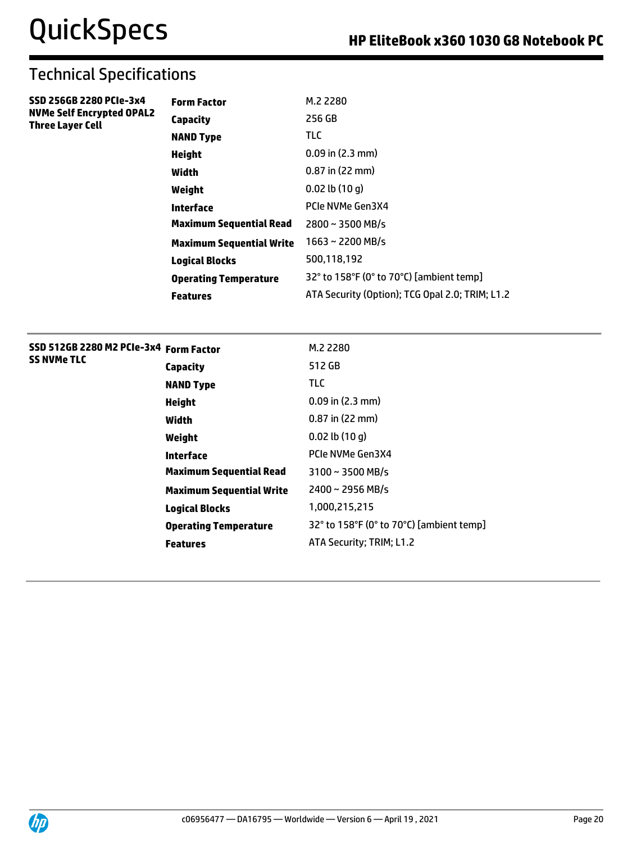**SSD 256GB 2280 PCIe-3x4 NVMe Self Encrypted OPAL2** 

**Three Layer Cell**

| <b>Form Factor</b>              | M.2 2280                                        |
|---------------------------------|-------------------------------------------------|
| Capacity                        | 256 GB                                          |
| <b>NAND Type</b>                | TLC                                             |
| Height                          | $0.09$ in $(2.3$ mm)                            |
| Width                           | $0.87$ in (22 mm)                               |
| Weight                          | $0.02$ lb $(10q)$                               |
| Interface                       | PCIe NVMe Gen3X4                                |
| Maximum Sequential Read         | $2800 \sim 3500$ MB/s                           |
| <b>Maximum Sequential Write</b> | $1663 \sim 2200$ MB/s                           |
| Logical Blocks                  | 500,118,192                                     |
| <b>Operating Temperature</b>    | 32° to 158°F (0° to 70°C) [ambient temp]        |
| <b>Features</b>                 | ATA Security (Option); TCG Opal 2.0; TRIM; L1.2 |

| SSD 512GB 2280 M2 PCIe-3x4 Form Factor<br><b>SS NVMe TLC</b> |                                 | M.2 2280                                 |
|--------------------------------------------------------------|---------------------------------|------------------------------------------|
|                                                              | Capacity                        | 512 GB                                   |
|                                                              | <b>NAND Type</b>                | <b>TLC</b>                               |
|                                                              | Height                          | $0.09$ in $(2.3$ mm)                     |
|                                                              | Width                           | $0.87$ in (22 mm)                        |
|                                                              | Weight                          | $0.02$ lb $(10q)$                        |
|                                                              | <b>Interface</b>                | PCIe NVMe Gen3X4                         |
|                                                              | <b>Maximum Sequential Read</b>  | $3100 \sim 3500$ MB/s                    |
|                                                              | <b>Maximum Sequential Write</b> | $2400 \sim 2956 \text{ MB/s}$            |
|                                                              | <b>Logical Blocks</b>           | 1,000,215,215                            |
|                                                              | <b>Operating Temperature</b>    | 32° to 158°F (0° to 70°C) [ambient temp] |
|                                                              | <b>Features</b>                 | ATA Security; TRIM; L1.2                 |
|                                                              |                                 |                                          |

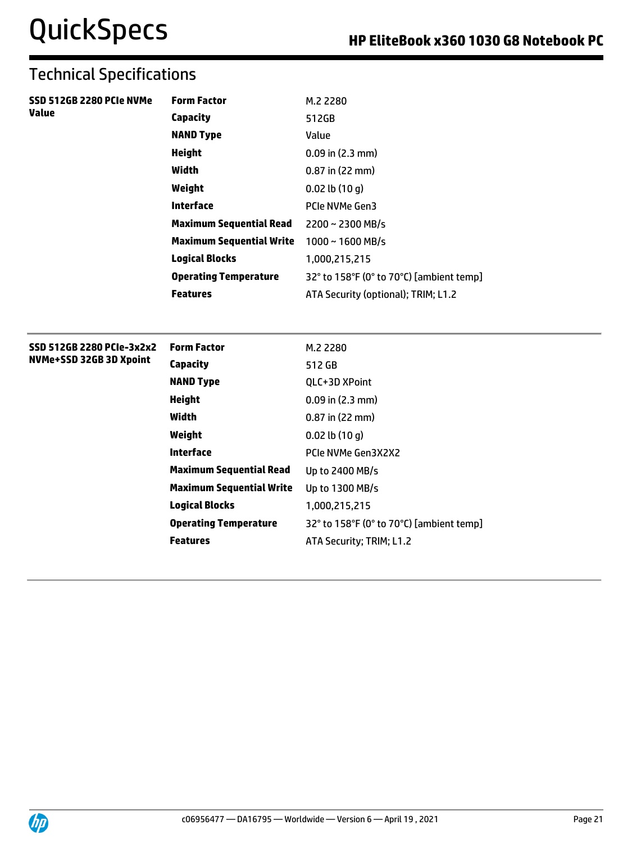**SSD 512GB 2280 PCIe NVMe**

**Value**

| <b>Form Factor</b>              | M.2 2280                                 |
|---------------------------------|------------------------------------------|
| Capacity                        | 512GB                                    |
| <b>NAND Type</b>                | Value                                    |
| Height                          | $0.09$ in $(2.3$ mm)                     |
| Width                           | $0.87$ in (22 mm)                        |
| Weight                          | $0.02$ lb $(10q)$                        |
| Interface                       | PCIe NVMe Gen3                           |
| <b>Maximum Sequential Read</b>  | $2200 \sim 2300$ MB/s                    |
| <b>Maximum Sequential Write</b> | $1000 \sim 1600$ MB/s                    |
| Logical Blocks                  | 1,000,215,215                            |
| <b>Operating Temperature</b>    | 32° to 158°F (0° to 70°C) [ambient temp] |
| <b>Features</b>                 | ATA Security (optional); TRIM; L1.2      |

| SSD 512GB 2280 PCIe-3x2x2 | <b>Form Factor</b>              | M.2 2280                                 |
|---------------------------|---------------------------------|------------------------------------------|
| NVMe+SSD 32GB 3D Xpoint   | Capacity                        | 512 GB                                   |
|                           | <b>NAND Type</b>                | QLC+3D XPoint                            |
|                           | <b>Height</b>                   | $0.09$ in (2.3 mm)                       |
|                           | Width                           | $0.87$ in (22 mm)                        |
|                           | Weight                          | $0.02$ lb $(10q)$                        |
|                           | Interface                       | PCIe NVMe Gen3X2X2                       |
|                           | <b>Maximum Sequential Read</b>  | Up to 2400 MB/s                          |
|                           | <b>Maximum Sequential Write</b> | Up to 1300 MB/s                          |
|                           | <b>Logical Blocks</b>           | 1,000,215,215                            |
|                           | <b>Operating Temperature</b>    | 32° to 158°F (0° to 70°C) [ambient temp] |
|                           | <b>Features</b>                 | ATA Security; TRIM; L1.2                 |
|                           |                                 |                                          |

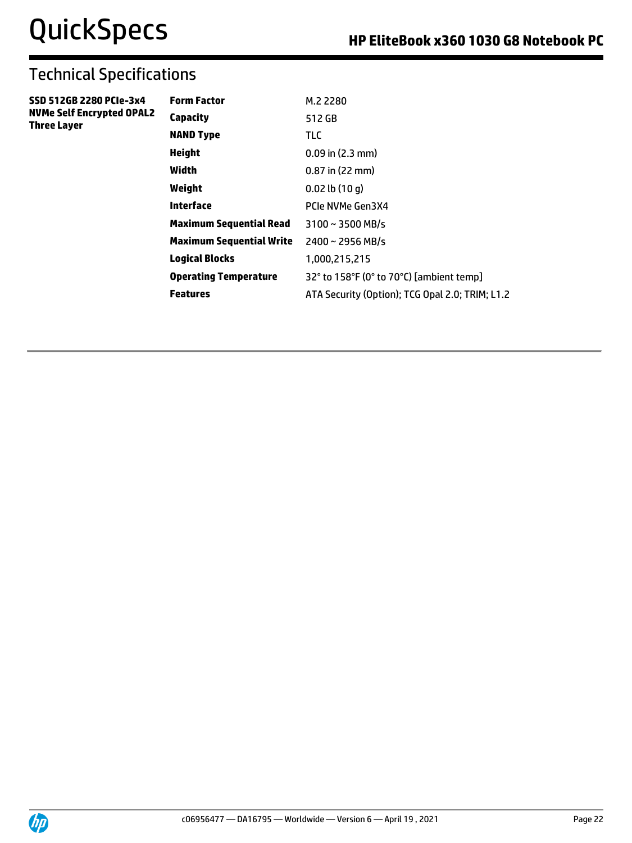| SSD 512GB 2280 PCIe-3x4          |  |
|----------------------------------|--|
| <b>NVMe Self Encrypted OPAL2</b> |  |
| Three Layer                      |  |

| Form Factor                  | M.2 2280                                        |
|------------------------------|-------------------------------------------------|
| Capacity                     | 512 GB                                          |
| <b>NAND Type</b>             | <b>TLC</b>                                      |
| Height                       | $0.09$ in (2.3 mm)                              |
| Width                        | $0.87$ in (22 mm)                               |
| Weight                       | $0.02$ lb $(10q)$                               |
| Interface                    | PCIe NVMe Gen3X4                                |
| Maximum Sequential Read      | $3100 \sim 3500$ MB/s                           |
| Maximum Sequential Write     | $2400 \sim 2956 \text{ MB/s}$                   |
| Logical Blocks               | 1,000,215,215                                   |
| <b>Operating Temperature</b> | 32° to 158°F (0° to 70°C) [ambient temp]        |
| Features                     | ATA Security (Option); TCG Opal 2.0; TRIM; L1.2 |

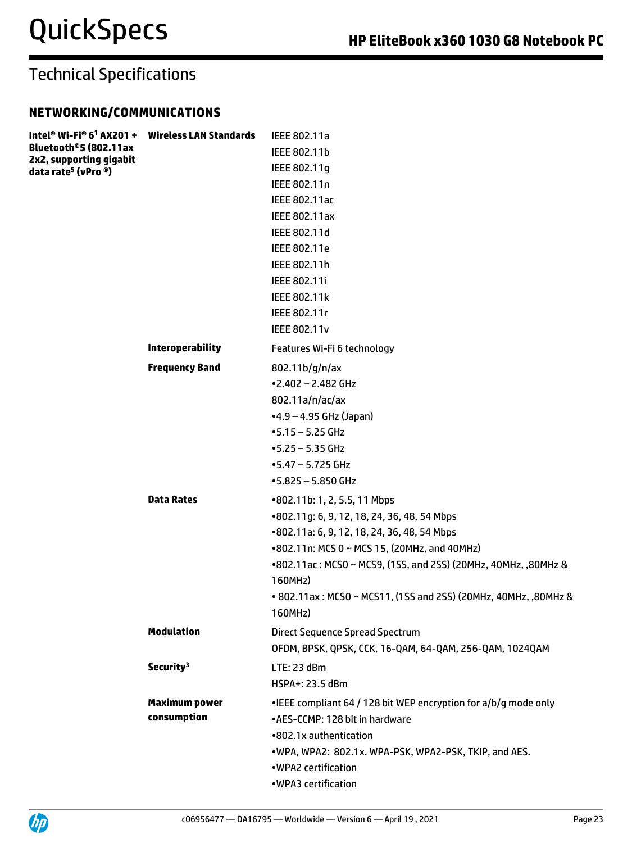## **NETWORKING/COMMUNICATIONS**

| Bluetooth®5 (802.11ax<br>2x2, supporting gigabit<br>data rate <sup>5</sup> (vPro ®) | Intel® Wi-Fi® 6 <sup>1</sup> AX201 + Wireless LAN Standards | IEEE 802.11a                                                    |
|-------------------------------------------------------------------------------------|-------------------------------------------------------------|-----------------------------------------------------------------|
|                                                                                     |                                                             | IEEE 802.11b                                                    |
|                                                                                     |                                                             | IEEE 802.11g                                                    |
|                                                                                     |                                                             | IEEE 802.11n                                                    |
|                                                                                     |                                                             | <b>IEEE 802.11ac</b>                                            |
|                                                                                     |                                                             | IEEE 802.11ax                                                   |
|                                                                                     |                                                             | IEEE 802.11d                                                    |
|                                                                                     |                                                             | IEEE 802.11e                                                    |
|                                                                                     |                                                             | IEEE 802.11h                                                    |
|                                                                                     |                                                             | IEEE 802.11i                                                    |
|                                                                                     |                                                             | IEEE 802.11k                                                    |
|                                                                                     |                                                             | IEEE 802.11r                                                    |
|                                                                                     |                                                             | <b>IEEE 802.11v</b>                                             |
|                                                                                     | <b>Interoperability</b>                                     | Features Wi-Fi 6 technology                                     |
|                                                                                     | <b>Frequency Band</b>                                       | 802.11b/g/n/ax                                                  |
|                                                                                     |                                                             | $•2.402 - 2.482$ GHz                                            |
|                                                                                     |                                                             | 802.11a/n/ac/ax                                                 |
|                                                                                     |                                                             | $-4.9 - 4.95$ GHz (Japan)                                       |
|                                                                                     |                                                             | $-5.15 - 5.25$ GHz                                              |
|                                                                                     |                                                             | $-5.25 - 5.35$ GHz                                              |
|                                                                                     |                                                             | $-5.47 - 5.725$ GHz                                             |
|                                                                                     |                                                             | $-5.825 - 5.850$ GHz                                            |
|                                                                                     | <b>Data Rates</b>                                           | •802.11b: 1, 2, 5.5, 11 Mbps                                    |
|                                                                                     |                                                             | •802.11g: 6, 9, 12, 18, 24, 36, 48, 54 Mbps                     |
|                                                                                     |                                                             | •802.11a: 6, 9, 12, 18, 24, 36, 48, 54 Mbps                     |
|                                                                                     |                                                             | •802.11n: MCS 0 ~ MCS 15, (20MHz, and 40MHz)                    |
|                                                                                     |                                                             | •802.11ac: MCS0 ~ MCS9, (1SS, and 2SS) (20MHz, 40MHz, ,80MHz &  |
|                                                                                     |                                                             | 160MHz)                                                         |
|                                                                                     |                                                             | • 802.11ax: MCS0 ~ MCS11, (1SS and 2SS) (20MHz, 40MHz, ,80MHz & |
|                                                                                     |                                                             | 160MHz)                                                         |
|                                                                                     | <b>Modulation</b>                                           | Direct Sequence Spread Spectrum                                 |
|                                                                                     |                                                             | OFDM, BPSK, QPSK, CCK, 16-QAM, 64-QAM, 256-QAM, 1024QAM         |
|                                                                                     | Security <sup>3</sup>                                       | LTE: 23 dBm                                                     |
|                                                                                     |                                                             | HSPA+: 23.5 dBm                                                 |
|                                                                                     | <b>Maximum power</b>                                        | •IEEE compliant 64 / 128 bit WEP encryption for a/b/g mode only |
|                                                                                     | consumption                                                 | •AES-CCMP: 128 bit in hardware                                  |
|                                                                                     |                                                             | •802.1x authentication                                          |
|                                                                                     |                                                             | .WPA, WPA2: 802.1x. WPA-PSK, WPA2-PSK, TKIP, and AES.           |
|                                                                                     |                                                             | •WPA2 certification                                             |
|                                                                                     |                                                             | •WPA3 certification                                             |

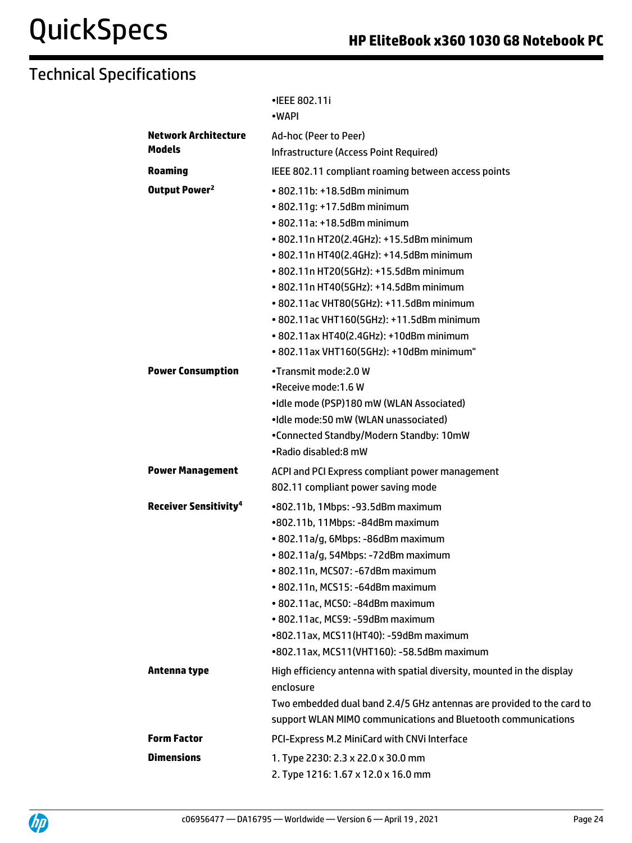|                                         | •IEEE 802.11i<br>•WAPI                                                                                                                 |
|-----------------------------------------|----------------------------------------------------------------------------------------------------------------------------------------|
| <b>Network Architecture</b>             | Ad-hoc (Peer to Peer)                                                                                                                  |
| <b>Models</b>                           | Infrastructure (Access Point Required)                                                                                                 |
| <b>Roaming</b>                          | IEEE 802.11 compliant roaming between access points                                                                                    |
| Output Power <sup>2</sup>               | • 802.11b: +18.5dBm minimum                                                                                                            |
|                                         | • 802.11g: +17.5dBm minimum                                                                                                            |
|                                         | • 802.11a: +18.5dBm minimum                                                                                                            |
|                                         | • 802.11n HT20(2.4GHz): +15.5dBm minimum                                                                                               |
|                                         | • 802.11n HT40(2.4GHz): +14.5dBm minimum                                                                                               |
|                                         | • 802.11n HT20(5GHz): +15.5dBm minimum                                                                                                 |
|                                         | • 802.11n HT40(5GHz): +14.5dBm minimum                                                                                                 |
|                                         | • 802.11ac VHT80(5GHz): +11.5dBm minimum                                                                                               |
|                                         | • 802.11ac VHT160(5GHz): +11.5dBm minimum                                                                                              |
|                                         | • 802.11ax HT40(2.4GHz): +10dBm minimum                                                                                                |
|                                         | • 802.11ax VHT160(5GHz): +10dBm minimum"                                                                                               |
| <b>Power Consumption</b>                | •Transmit mode: 2.0 W                                                                                                                  |
|                                         | •Receive mode:1.6 W                                                                                                                    |
|                                         | •Idle mode (PSP)180 mW (WLAN Associated)                                                                                               |
|                                         | •Idle mode:50 mW (WLAN unassociated)                                                                                                   |
|                                         | •Connected Standby/Modern Standby: 10mW                                                                                                |
|                                         | •Radio disabled:8 mW                                                                                                                   |
| <b>Power Management</b>                 | ACPI and PCI Express compliant power management                                                                                        |
|                                         | 802.11 compliant power saving mode                                                                                                     |
| <b>Receiver Sensitivity<sup>4</sup></b> | •802.11b, 1Mbps: -93.5dBm maximum                                                                                                      |
|                                         | •802.11b, 11Mbps: -84dBm maximum                                                                                                       |
|                                         | • 802.11a/g, 6Mbps: -86dBm maximum                                                                                                     |
|                                         | • 802.11a/g, 54Mbps: -72dBm maximum                                                                                                    |
|                                         | · 802.11n, MCS07: -67dBm maximum                                                                                                       |
|                                         | • 802.11n, MCS15: -64dBm maximum                                                                                                       |
|                                         | • 802.11ac, MCS0: -84dBm maximum                                                                                                       |
|                                         | · 802.11ac, MCS9: -59dBm maximum                                                                                                       |
|                                         | •802.11ax, MCS11(HT40): -59dBm maximum                                                                                                 |
|                                         | •802.11ax, MCS11(VHT160): -58.5dBm maximum                                                                                             |
| Antenna type                            | High efficiency antenna with spatial diversity, mounted in the display<br>enclosure                                                    |
|                                         | Two embedded dual band 2.4/5 GHz antennas are provided to the card to<br>support WLAN MIMO communications and Bluetooth communications |
| <b>Form Factor</b>                      | PCI-Express M.2 MiniCard with CNVi Interface                                                                                           |
| <b>Dimensions</b>                       | 1. Type 2230: 2.3 x 22.0 x 30.0 mm                                                                                                     |
|                                         | 2. Type 1216: 1.67 x 12.0 x 16.0 mm                                                                                                    |

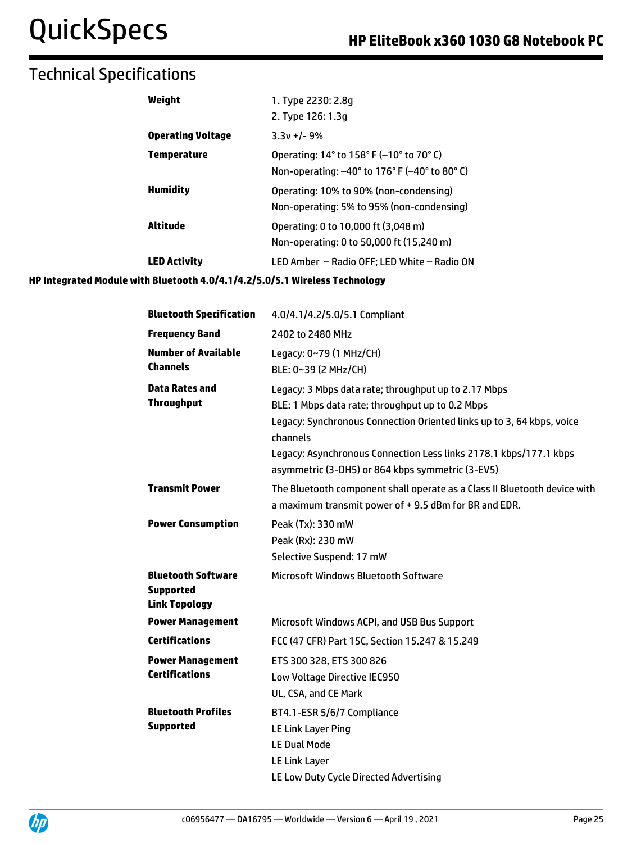# Technical Specifications

| Weight                   | 1. Type 2230: 2.8q                                                                                       |
|--------------------------|----------------------------------------------------------------------------------------------------------|
|                          | 2. Type 126: 1.3q                                                                                        |
| <b>Operating Voltage</b> | $3.3v + 1 - 9%$                                                                                          |
| <b>Temperature</b>       | Operating: 14° to 158° F (-10° to 70° C)<br>Non-operating: $-40^\circ$ to 176° F ( $-40^\circ$ to 80° C) |
| <b>Humidity</b>          | Operating: 10% to 90% (non-condensing)<br>Non-operating: 5% to 95% (non-condensing)                      |
| Altitude                 | Operating: 0 to 10,000 ft (3,048 m)<br>Non-operating: 0 to 50,000 ft (15,240 m)                          |
| <b>LED Activity</b>      | LED Amber - Radio OFF; LED White - Radio ON                                                              |

**HP Integrated Module with Bluetooth 4.0/4.1/4.2/5.0/5.1 Wireless Technology**

| <b>Bluetooth Specification</b>                                        | 4.0/4.1/4.2/5.0/5.1 Compliant                                                                                                                                                                                                                                                                                          |  |
|-----------------------------------------------------------------------|------------------------------------------------------------------------------------------------------------------------------------------------------------------------------------------------------------------------------------------------------------------------------------------------------------------------|--|
| <b>Frequency Band</b>                                                 | 2402 to 2480 MHz                                                                                                                                                                                                                                                                                                       |  |
| <b>Number of Available</b><br><b>Channels</b>                         | Legacy: 0~79 (1 MHz/CH)<br>BLE: 0~39 (2 MHz/CH)                                                                                                                                                                                                                                                                        |  |
| <b>Data Rates and</b><br><b>Throughput</b>                            | Legacy: 3 Mbps data rate; throughput up to 2.17 Mbps<br>BLE: 1 Mbps data rate; throughput up to 0.2 Mbps<br>Legacy: Synchronous Connection Oriented links up to 3, 64 kbps, voice<br>channels<br>Legacy: Asynchronous Connection Less links 2178.1 kbps/177.1 kbps<br>asymmetric (3-DH5) or 864 kbps symmetric (3-EV5) |  |
| <b>Transmit Power</b>                                                 | The Bluetooth component shall operate as a Class II Bluetooth device with<br>a maximum transmit power of +9.5 dBm for BR and EDR.                                                                                                                                                                                      |  |
| <b>Power Consumption</b>                                              | Peak (Tx): 330 mW<br>Peak (Rx): 230 mW<br>Selective Suspend: 17 mW                                                                                                                                                                                                                                                     |  |
| <b>Bluetooth Software</b><br><b>Supported</b><br><b>Link Topology</b> | Microsoft Windows Bluetooth Software                                                                                                                                                                                                                                                                                   |  |
| <b>Power Management</b>                                               | Microsoft Windows ACPI, and USB Bus Support                                                                                                                                                                                                                                                                            |  |
| <b>Certifications</b>                                                 | FCC (47 CFR) Part 15C, Section 15.247 & 15.249                                                                                                                                                                                                                                                                         |  |
| <b>Power Management</b><br><b>Certifications</b>                      | ETS 300 328, ETS 300 826<br>Low Voltage Directive IEC950<br>UL, CSA, and CE Mark                                                                                                                                                                                                                                       |  |
| <b>Bluetooth Profiles</b><br><b>Supported</b>                         | BT4.1-ESR 5/6/7 Compliance<br>LE Link Layer Ping<br><b>LE Dual Mode</b><br>LE Link Layer<br>LE Low Duty Cycle Directed Advertising                                                                                                                                                                                     |  |

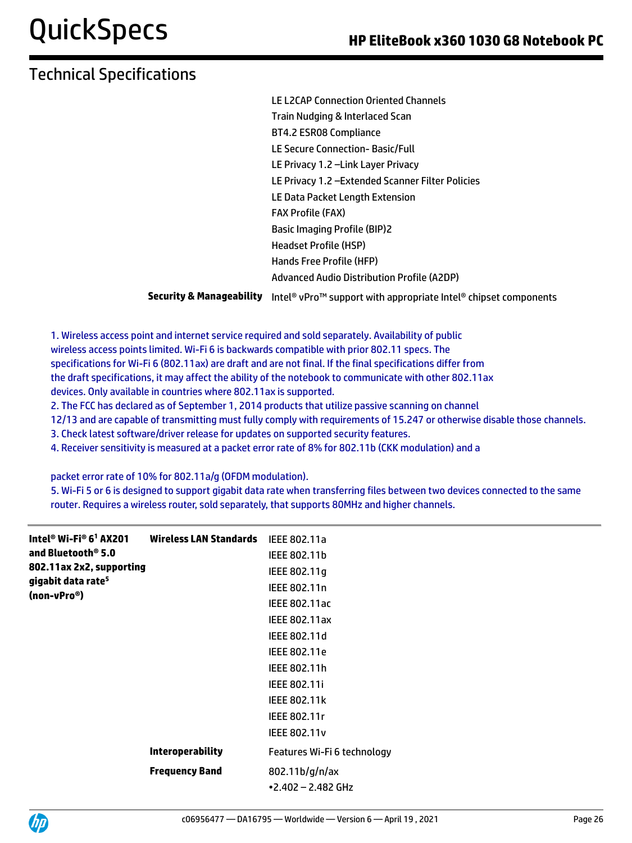LE L2CAP Connection Oriented Channels Train Nudging & Interlaced Scan

BT4.2 ESR08 Compliance

LE Secure Connection- Basic/Full

LE Privacy 1.2 –Link Layer Privacy

LE Privacy 1.2 –Extended Scanner Filter Policies

LE Data Packet Length Extension

FAX Profile (FAX)

Basic Imaging Profile (BIP)2

Headset Profile (HSP)

Hands Free Profile (HFP)

Advanced Audio Distribution Profile (A2DP)

**Security & Manageability** Intel® vPro™ support with appropriate Intel® chipset components

1. Wireless access point and internet service required and sold separately. Availability of public wireless access points limited. Wi-Fi 6 is backwards compatible with prior 802.11 specs. The specifications for Wi-Fi 6 (802.11ax) are draft and are not final. If the final specifications differ from the draft specifications, it may affect the ability of the notebook to communicate with other 802.11ax devices. Only available in countries where 802.11ax is supported.

2. The FCC has declared as of September 1, 2014 products that utilize passive scanning on channel

12/13 and are capable of transmitting must fully comply with requirements of 15.247 or otherwise disable those channels.

3. Check latest software/driver release for updates on supported security features.

4. Receiver sensitivity is measured at a packet error rate of 8% for 802.11b (CKK modulation) and a

packet error rate of 10% for 802.11a/g (OFDM modulation).

5. Wi-Fi 5 or 6 is designed to support gigabit data rate when transferring files between two devices connected to the same router. Requires a wireless router, sold separately, that supports 80MHz and higher channels.

| Intel® Wi-Fi® 6 <sup>1</sup> AX201            | Wireless LAN Standards  | IEEE 802.11a                |
|-----------------------------------------------|-------------------------|-----------------------------|
| and Bluetooth® 5.0                            |                         | IEEE 802.11b                |
| 802.11ax 2x2, supporting                      |                         | IEEE 802.11g                |
| gigabit data rate <sup>5</sup><br>(non-vPro®) |                         | IEEE 802.11n                |
|                                               |                         | <b>IEEE 802.11ac</b>        |
|                                               |                         | <b>IEEE 802.11ax</b>        |
|                                               |                         | IEEE 802.11d                |
|                                               |                         | IEEE 802.11e                |
|                                               |                         | IEEE 802.11h                |
|                                               |                         | <b>IEEE 802.11i</b>         |
|                                               |                         | <b>IEEE 802.11k</b>         |
|                                               |                         | IEEE 802.11r                |
|                                               |                         | <b>IEEE 802.11v</b>         |
|                                               | <b>Interoperability</b> | Features Wi-Fi 6 technology |
|                                               | <b>Frequency Band</b>   | 802.11b/g/n/ax              |
|                                               |                         | $-2.402 - 2.482$ GHz        |
|                                               |                         |                             |

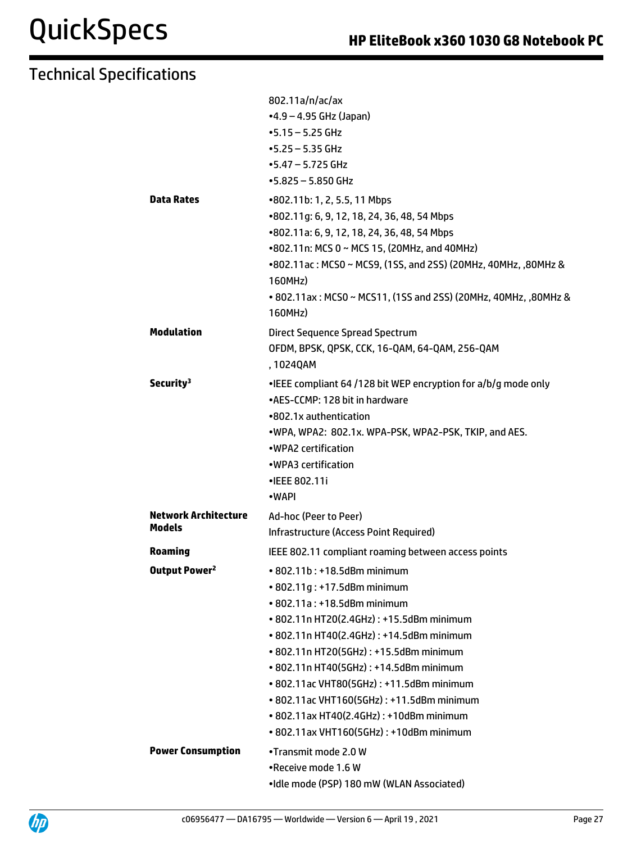|                                 | 802.11a/n/ac/ax                                                           |
|---------------------------------|---------------------------------------------------------------------------|
|                                 | $-4.9 - 4.95$ GHz (Japan)                                                 |
|                                 | $-5.15 - 5.25$ GHz                                                        |
|                                 | $-5.25 - 5.35$ GHz                                                        |
|                                 | $-5.47 - 5.725$ GHz                                                       |
|                                 | $-5.825 - 5.850$ GHz                                                      |
| <b>Data Rates</b>               | •802.11b: 1, 2, 5.5, 11 Mbps                                              |
|                                 | •802.11g: 6, 9, 12, 18, 24, 36, 48, 54 Mbps                               |
|                                 | •802.11a: 6, 9, 12, 18, 24, 36, 48, 54 Mbps                               |
|                                 | •802.11n: MCS 0 ~ MCS 15, (20MHz, and 40MHz)                              |
|                                 | •802.11ac: MCS0 ~ MCS9, (1SS, and 2SS) (20MHz, 40MHz, ,80MHz &<br>160MHz) |
|                                 | • 802.11ax: MCS0 ~ MCS11, (1SS and 2SS) (20MHz, 40MHz, ,80MHz &           |
|                                 | 160MHz)                                                                   |
| <b>Modulation</b>               | Direct Sequence Spread Spectrum                                           |
|                                 | OFDM, BPSK, QPSK, CCK, 16-QAM, 64-QAM, 256-QAM                            |
|                                 | , 1024QAM                                                                 |
| Security <sup>3</sup>           | • IEEE compliant 64 /128 bit WEP encryption for a/b/g mode only           |
|                                 | •AES-CCMP: 128 bit in hardware                                            |
|                                 | .802.1x authentication                                                    |
|                                 | .WPA, WPA2: 802.1x. WPA-PSK, WPA2-PSK, TKIP, and AES.                     |
|                                 | •WPA2 certification                                                       |
|                                 | •WPA3 certification                                                       |
|                                 | •IEEE 802.11i                                                             |
|                                 | •WAPI                                                                     |
| <b>Network Architecture</b>     | Ad-hoc (Peer to Peer)                                                     |
| <b>Models</b>                   | Infrastructure (Access Point Required)                                    |
| <b>Roaming</b>                  | IEEE 802.11 compliant roaming between access points                       |
| <b>Output Power<sup>2</sup></b> | • 802.11b : +18.5dBm minimum                                              |
|                                 | • 802.11g: +17.5dBm minimum                                               |
|                                 | • 802.11a: +18.5dBm minimum                                               |
|                                 | • 802.11n HT20(2.4GHz): +15.5dBm minimum                                  |
|                                 | • 802.11n HT40(2.4GHz): +14.5dBm minimum                                  |
|                                 | • 802.11n HT20(5GHz): +15.5dBm minimum                                    |
|                                 | • 802.11n HT40(5GHz): +14.5dBm minimum                                    |
|                                 | • 802.11ac VHT80(5GHz): +11.5dBm minimum                                  |
|                                 | • 802.11ac VHT160(5GHz): +11.5dBm minimum                                 |
|                                 | • 802.11ax HT40(2.4GHz): +10dBm minimum                                   |
|                                 | • 802.11ax VHT160(5GHz): +10dBm minimum                                   |
| <b>Power Consumption</b>        | •Transmit mode 2.0 W                                                      |
|                                 | •Receive mode 1.6 W                                                       |
|                                 | •Idle mode (PSP) 180 mW (WLAN Associated)                                 |
|                                 |                                                                           |

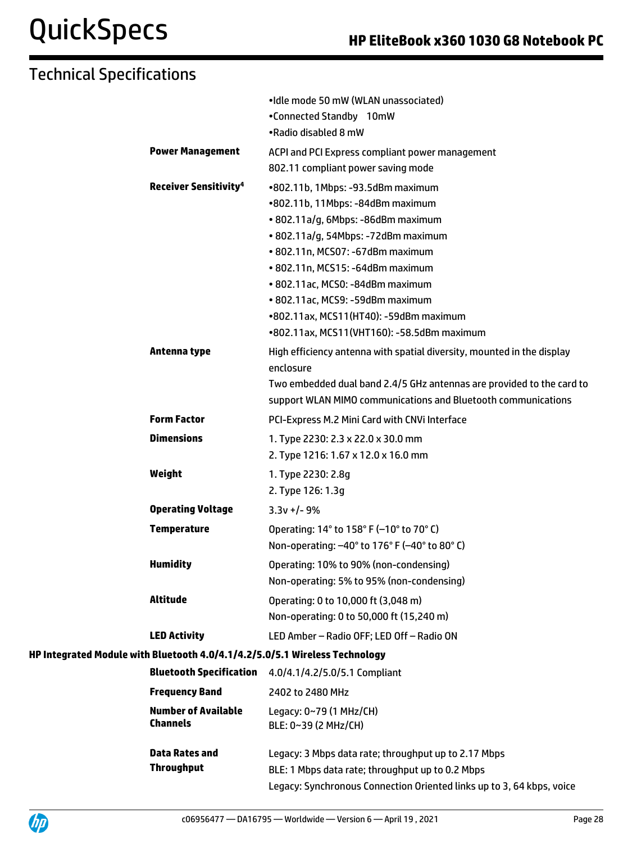|                                               | •Idle mode 50 mW (WLAN unassociated)                                                                                                   |
|-----------------------------------------------|----------------------------------------------------------------------------------------------------------------------------------------|
|                                               | •Connected Standby 10mW                                                                                                                |
|                                               | •Radio disabled 8 mW                                                                                                                   |
| <b>Power Management</b>                       | ACPI and PCI Express compliant power management                                                                                        |
|                                               | 802.11 compliant power saving mode                                                                                                     |
| <b>Receiver Sensitivity<sup>4</sup></b>       | •802.11b, 1Mbps: -93.5dBm maximum                                                                                                      |
|                                               | •802.11b, 11Mbps: -84dBm maximum                                                                                                       |
|                                               | • 802.11a/g, 6Mbps: -86dBm maximum                                                                                                     |
|                                               | · 802.11a/g, 54Mbps: -72dBm maximum                                                                                                    |
|                                               | • 802.11n, MCS07: -67dBm maximum                                                                                                       |
|                                               | • 802.11n, MCS15: -64dBm maximum                                                                                                       |
|                                               | • 802.11ac, MCS0: -84dBm maximum                                                                                                       |
|                                               | • 802.11ac, MCS9: -59dBm maximum                                                                                                       |
|                                               | •802.11ax, MCS11(HT40): -59dBm maximum                                                                                                 |
|                                               | •802.11ax, MCS11(VHT160): -58.5dBm maximum                                                                                             |
| Antenna type                                  | High efficiency antenna with spatial diversity, mounted in the display<br>enclosure                                                    |
|                                               | Two embedded dual band 2.4/5 GHz antennas are provided to the card to<br>support WLAN MIMO communications and Bluetooth communications |
|                                               |                                                                                                                                        |
| <b>Form Factor</b>                            | PCI-Express M.2 Mini Card with CNVi Interface                                                                                          |
| <b>Dimensions</b>                             | 1. Type 2230: 2.3 x 22.0 x 30.0 mm<br>2. Type 1216: 1.67 x 12.0 x 16.0 mm                                                              |
| Weight                                        | 1. Type 2230: 2.8g                                                                                                                     |
|                                               | 2. Type 126: 1.3g                                                                                                                      |
| <b>Operating Voltage</b>                      | $3.3v + 1 - 9%$                                                                                                                        |
| <b>Temperature</b>                            | Operating: 14° to 158° F (-10° to 70° C)                                                                                               |
|                                               | Non-operating: -40° to 176° F (-40° to 80° C)                                                                                          |
| <b>Humidity</b>                               | Operating: 10% to 90% (non-condensing)                                                                                                 |
|                                               | Non-operating: 5% to 95% (non-condensing)                                                                                              |
| <b>Altitude</b>                               | Operating: 0 to 10,000 ft (3,048 m)                                                                                                    |
|                                               | Non-operating: 0 to 50,000 ft (15,240 m)                                                                                               |
| <b>LED Activity</b>                           | LED Amber - Radio OFF; LED Off - Radio ON                                                                                              |
|                                               | HP Integrated Module with Bluetooth 4.0/4.1/4.2/5.0/5.1 Wireless Technology                                                            |
| <b>Bluetooth Specification</b>                | 4.0/4.1/4.2/5.0/5.1 Compliant                                                                                                          |
| <b>Frequency Band</b>                         | 2402 to 2480 MHz                                                                                                                       |
|                                               |                                                                                                                                        |
| <b>Number of Available</b><br><b>Channels</b> | Legacy: 0~79 (1 MHz/CH)<br>BLE: 0~39 (2 MHz/CH)                                                                                        |
| <b>Data Rates and</b>                         | Legacy: 3 Mbps data rate; throughput up to 2.17 Mbps                                                                                   |
| <b>Throughput</b>                             | BLE: 1 Mbps data rate; throughput up to 0.2 Mbps                                                                                       |
|                                               | Legacy: Synchronous Connection Oriented links up to 3, 64 kbps, voice                                                                  |

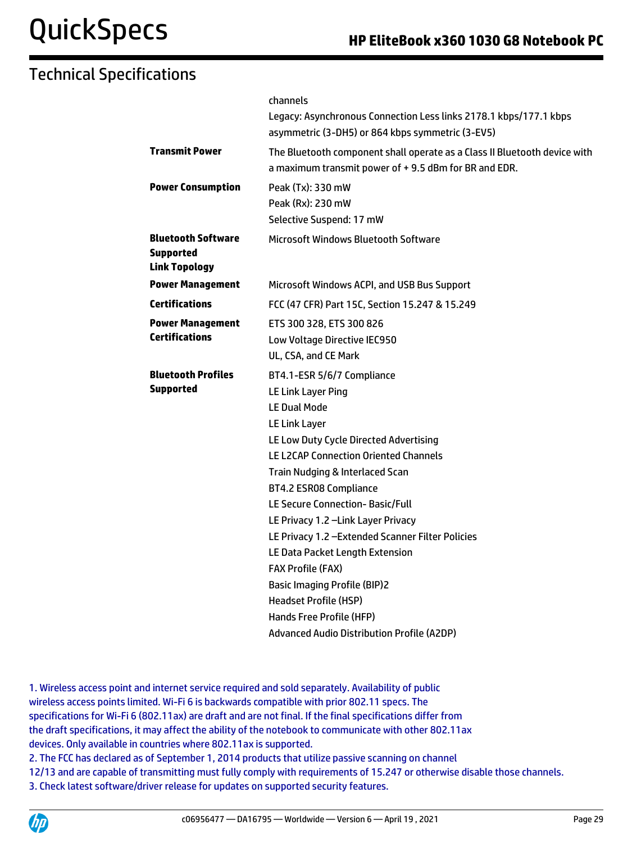## Technical Specifications

|                           | channels                                                                  |
|---------------------------|---------------------------------------------------------------------------|
|                           | Legacy: Asynchronous Connection Less links 2178.1 kbps/177.1 kbps         |
|                           | asymmetric (3-DH5) or 864 kbps symmetric (3-EV5)                          |
| <b>Transmit Power</b>     | The Bluetooth component shall operate as a Class II Bluetooth device with |
|                           | a maximum transmit power of + 9.5 dBm for BR and EDR.                     |
| <b>Power Consumption</b>  | Peak (Tx): 330 mW                                                         |
|                           | Peak (Rx): 230 mW                                                         |
|                           | Selective Suspend: 17 mW                                                  |
| <b>Bluetooth Software</b> | Microsoft Windows Bluetooth Software                                      |
| <b>Supported</b>          |                                                                           |
| <b>Link Topology</b>      |                                                                           |
| <b>Power Management</b>   | Microsoft Windows ACPI, and USB Bus Support                               |
| <b>Certifications</b>     | FCC (47 CFR) Part 15C, Section 15.247 & 15.249                            |
| <b>Power Management</b>   | ETS 300 328, ETS 300 826                                                  |
| <b>Certifications</b>     | Low Voltage Directive IEC950                                              |
|                           | UL, CSA, and CE Mark                                                      |
| <b>Bluetooth Profiles</b> | BT4.1-ESR 5/6/7 Compliance                                                |
| <b>Supported</b>          | LE Link Layer Ping                                                        |
|                           | <b>LE Dual Mode</b>                                                       |
|                           | LE Link Layer                                                             |
|                           | LE Low Duty Cycle Directed Advertising                                    |
|                           | LE L2CAP Connection Oriented Channels                                     |
|                           | Train Nudging & Interlaced Scan                                           |
|                           | BT4.2 ESR08 Compliance                                                    |
|                           | LE Secure Connection-Basic/Full                                           |
|                           | LE Privacy 1.2 -Link Layer Privacy                                        |
|                           | LE Privacy 1.2 - Extended Scanner Filter Policies                         |
|                           | LE Data Packet Length Extension<br><b>FAX Profile (FAX)</b>               |
|                           | <b>Basic Imaging Profile (BIP)2</b>                                       |
|                           | <b>Headset Profile (HSP)</b>                                              |
|                           | Hands Free Profile (HFP)                                                  |
|                           | <b>Advanced Audio Distribution Profile (A2DP)</b>                         |
|                           |                                                                           |

1. Wireless access point and internet service required and sold separately. Availability of public wireless access points limited. Wi-Fi 6 is backwards compatible with prior 802.11 specs. The specifications for Wi-Fi 6 (802.11ax) are draft and are not final. If the final specifications differ from the draft specifications, it may affect the ability of the notebook to communicate with other 802.11ax devices. Only available in countries where 802.11ax is supported.

2. The FCC has declared as of September 1, 2014 products that utilize passive scanning on channel

12/13 and are capable of transmitting must fully comply with requirements of 15.247 or otherwise disable those channels.

3. Check latest software/driver release for updates on supported security features.

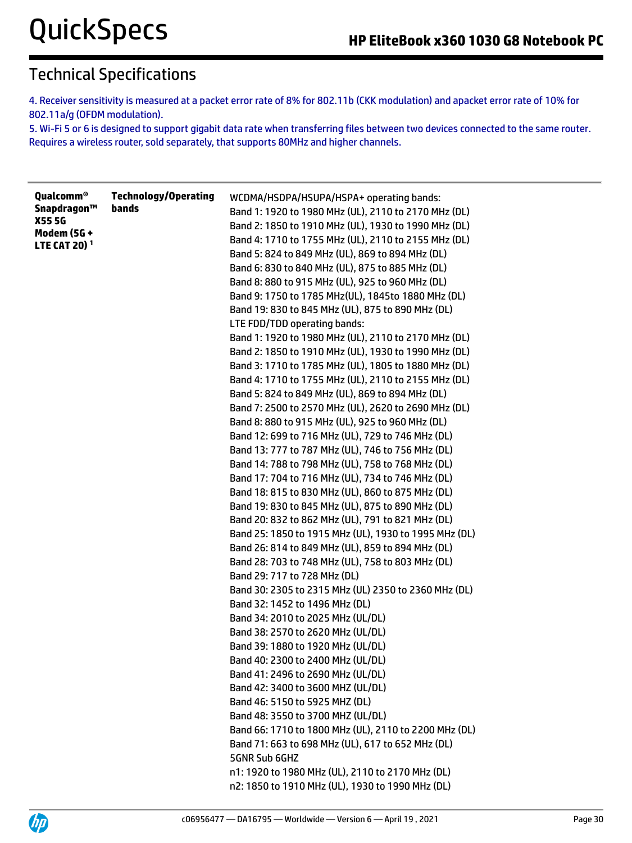## Technical Specifications

4. Receiver sensitivity is measured at a packet error rate of 8% for 802.11b (CKK modulation) and apacket error rate of 10% for 802.11a/g (OFDM modulation).

5. Wi-Fi 5 or 6 is designed to support gigabit data rate when transferring files between two devices connected to the same router. Requires a wireless router, sold separately, that supports 80MHz and higher channels.

| Qualcomm®                      | <b>Technology/Operating</b> | WCDMA/HSDPA/HSUPA/HSPA+ operating bands:              |
|--------------------------------|-----------------------------|-------------------------------------------------------|
| Snapdragon™<br><b>X555G</b>    | bands                       | Band 1: 1920 to 1980 MHz (UL), 2110 to 2170 MHz (DL)  |
| <b>Modem (5G +</b>             |                             | Band 2: 1850 to 1910 MHz (UL), 1930 to 1990 MHz (DL)  |
| <b>LTE CAT 20)<sup>1</sup></b> |                             | Band 4: 1710 to 1755 MHz (UL), 2110 to 2155 MHz (DL)  |
|                                |                             | Band 5: 824 to 849 MHz (UL), 869 to 894 MHz (DL)      |
|                                |                             | Band 6: 830 to 840 MHz (UL), 875 to 885 MHz (DL)      |
|                                |                             | Band 8: 880 to 915 MHz (UL), 925 to 960 MHz (DL)      |
|                                |                             | Band 9: 1750 to 1785 MHz(UL), 1845to 1880 MHz (DL)    |
|                                |                             | Band 19: 830 to 845 MHz (UL), 875 to 890 MHz (DL)     |
|                                |                             | LTE FDD/TDD operating bands:                          |
|                                |                             | Band 1: 1920 to 1980 MHz (UL), 2110 to 2170 MHz (DL)  |
|                                |                             | Band 2: 1850 to 1910 MHz (UL), 1930 to 1990 MHz (DL)  |
|                                |                             | Band 3: 1710 to 1785 MHz (UL), 1805 to 1880 MHz (DL)  |
|                                |                             | Band 4: 1710 to 1755 MHz (UL), 2110 to 2155 MHz (DL)  |
|                                |                             | Band 5: 824 to 849 MHz (UL), 869 to 894 MHz (DL)      |
|                                |                             | Band 7: 2500 to 2570 MHz (UL), 2620 to 2690 MHz (DL)  |
|                                |                             | Band 8: 880 to 915 MHz (UL), 925 to 960 MHz (DL)      |
|                                |                             | Band 12: 699 to 716 MHz (UL), 729 to 746 MHz (DL)     |
|                                |                             | Band 13: 777 to 787 MHz (UL), 746 to 756 MHz (DL)     |
|                                |                             | Band 14: 788 to 798 MHz (UL), 758 to 768 MHz (DL)     |
|                                |                             | Band 17: 704 to 716 MHz (UL), 734 to 746 MHz (DL)     |
|                                |                             | Band 18: 815 to 830 MHz (UL), 860 to 875 MHz (DL)     |
|                                |                             | Band 19: 830 to 845 MHz (UL), 875 to 890 MHz (DL)     |
|                                |                             | Band 20: 832 to 862 MHz (UL), 791 to 821 MHz (DL)     |
|                                |                             | Band 25: 1850 to 1915 MHz (UL), 1930 to 1995 MHz (DL) |
|                                |                             | Band 26: 814 to 849 MHz (UL), 859 to 894 MHz (DL)     |
|                                |                             | Band 28: 703 to 748 MHz (UL), 758 to 803 MHz (DL)     |
|                                |                             | Band 29: 717 to 728 MHz (DL)                          |
|                                |                             | Band 30: 2305 to 2315 MHz (UL) 2350 to 2360 MHz (DL)  |
|                                |                             | Band 32: 1452 to 1496 MHz (DL)                        |
|                                |                             | Band 34: 2010 to 2025 MHz (UL/DL)                     |
|                                |                             | Band 38: 2570 to 2620 MHz (UL/DL)                     |
|                                |                             | Band 39: 1880 to 1920 MHz (UL/DL)                     |
|                                |                             | Band 40: 2300 to 2400 MHz (UL/DL)                     |
|                                |                             | Band 41: 2496 to 2690 MHz (UL/DL)                     |
|                                |                             | Band 42: 3400 to 3600 MHZ (UL/DL)                     |
|                                |                             | Band 46: 5150 to 5925 MHZ (DL)                        |
|                                |                             | Band 48: 3550 to 3700 MHZ (UL/DL)                     |
|                                |                             | Band 66: 1710 to 1800 MHz (UL), 2110 to 2200 MHz (DL) |
|                                |                             | Band 71: 663 to 698 MHz (UL), 617 to 652 MHz (DL)     |
|                                |                             | 5GNR Sub 6GHZ                                         |
|                                |                             | n1: 1920 to 1980 MHz (UL), 2110 to 2170 MHz (DL)      |
|                                |                             | n2: 1850 to 1910 MHz (UL), 1930 to 1990 MHz (DL)      |

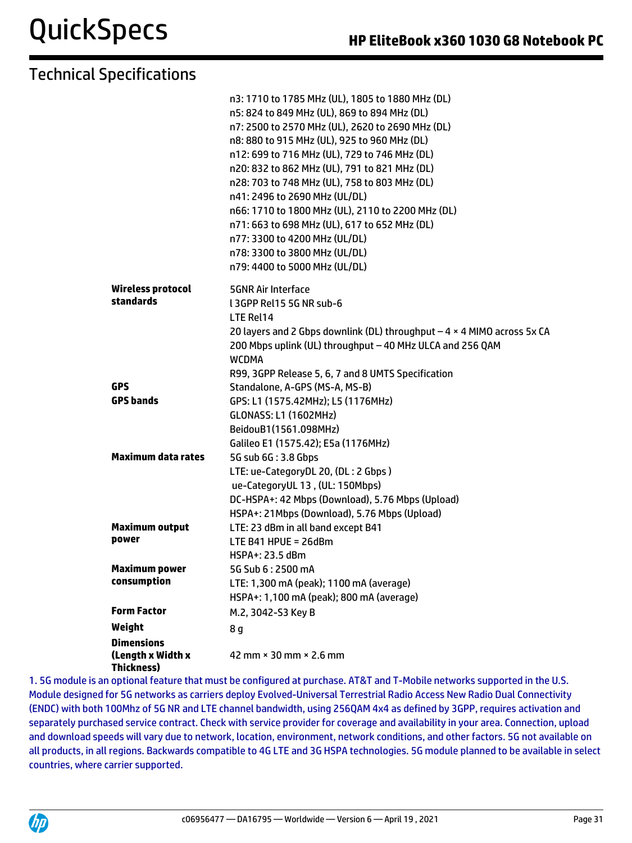|                                        | n3: 1710 to 1785 MHz (UL), 1805 to 1880 MHz (DL)                              |
|----------------------------------------|-------------------------------------------------------------------------------|
|                                        | n5: 824 to 849 MHz (UL), 869 to 894 MHz (DL)                                  |
|                                        | n7: 2500 to 2570 MHz (UL), 2620 to 2690 MHz (DL)                              |
|                                        | n8: 880 to 915 MHz (UL), 925 to 960 MHz (DL)                                  |
|                                        | n12: 699 to 716 MHz (UL), 729 to 746 MHz (DL)                                 |
|                                        | n20: 832 to 862 MHz (UL), 791 to 821 MHz (DL)                                 |
|                                        | n28: 703 to 748 MHz (UL), 758 to 803 MHz (DL)                                 |
|                                        | n41: 2496 to 2690 MHz (UL/DL)                                                 |
|                                        | n66: 1710 to 1800 MHz (UL), 2110 to 2200 MHz (DL)                             |
|                                        | n71: 663 to 698 MHz (UL), 617 to 652 MHz (DL)                                 |
|                                        | n77: 3300 to 4200 MHz (UL/DL)                                                 |
|                                        | n78: 3300 to 3800 MHz (UL/DL)                                                 |
|                                        | n79: 4400 to 5000 MHz (UL/DL)                                                 |
| <b>Wireless protocol</b>               | <b>5GNR Air Interface</b>                                                     |
| <b>standards</b>                       | l 3GPP Rel15 5G NR sub-6                                                      |
|                                        | LTE Rel14                                                                     |
|                                        | 20 layers and 2 Gbps downlink (DL) throughput $-4 \times 4$ MIMO across 5x CA |
|                                        | 200 Mbps uplink (UL) throughput - 40 MHz ULCA and 256 QAM                     |
|                                        | <b>WCDMA</b>                                                                  |
|                                        | R99, 3GPP Release 5, 6, 7 and 8 UMTS Specification                            |
| <b>GPS</b>                             | Standalone, A-GPS (MS-A, MS-B)                                                |
| <b>GPS bands</b>                       | GPS: L1 (1575.42MHz); L5 (1176MHz)                                            |
|                                        | <b>GLONASS: L1 (1602MHz)</b>                                                  |
|                                        | BeidouB1(1561.098MHz)                                                         |
|                                        | Galileo E1 (1575.42); E5a (1176MHz)                                           |
| <b>Maximum data rates</b>              | 5G sub 6G: 3.8 Gbps                                                           |
|                                        | LTE: ue-CategoryDL 20, (DL: 2 Gbps)                                           |
|                                        | ue-CategoryUL 13, (UL: 150Mbps)                                               |
|                                        | DC-HSPA+: 42 Mbps (Download), 5.76 Mbps (Upload)                              |
|                                        | HSPA+: 21Mbps (Download), 5.76 Mbps (Upload)                                  |
| <b>Maximum output</b>                  | LTE: 23 dBm in all band except B41                                            |
| power                                  | LTE B41 HPUE = $26dBm$                                                        |
|                                        | HSPA+: 23.5 dBm                                                               |
| <b>Maximum power</b><br>consumption    | 5G Sub 6:2500 mA                                                              |
|                                        | LTE: 1,300 mA (peak); 1100 mA (average)                                       |
|                                        | HSPA+: 1,100 mA (peak); 800 mA (average)                                      |
| <b>Form Factor</b>                     | M.2, 3042-S3 Key B                                                            |
| Weight                                 | 8 <sub>g</sub>                                                                |
| <b>Dimensions</b>                      | 42 mm × 30 mm × 2.6 mm                                                        |
| (Length x Width x<br><b>Thickness)</b> |                                                                               |

1. 5G module is an optional feature that must be configured at purchase. AT&T and T-Mobile networks supported in the U.S. Module designed for 5G networks as carriers deploy Evolved-Universal Terrestrial Radio Access New Radio Dual Connectivity (ENDC) with both 100Mhz of 5G NR and LTE channel bandwidth, using 256QAM 4x4 as defined by 3GPP, requires activation and separately purchased service contract. Check with service provider for coverage and availability in your area. Connection, upload and download speeds will vary due to network, location, environment, network conditions, and other factors. 5G not available on all products, in all regions. Backwards compatible to 4G LTE and 3G HSPA technologies. 5G module planned to be available in select countries, where carrier supported.

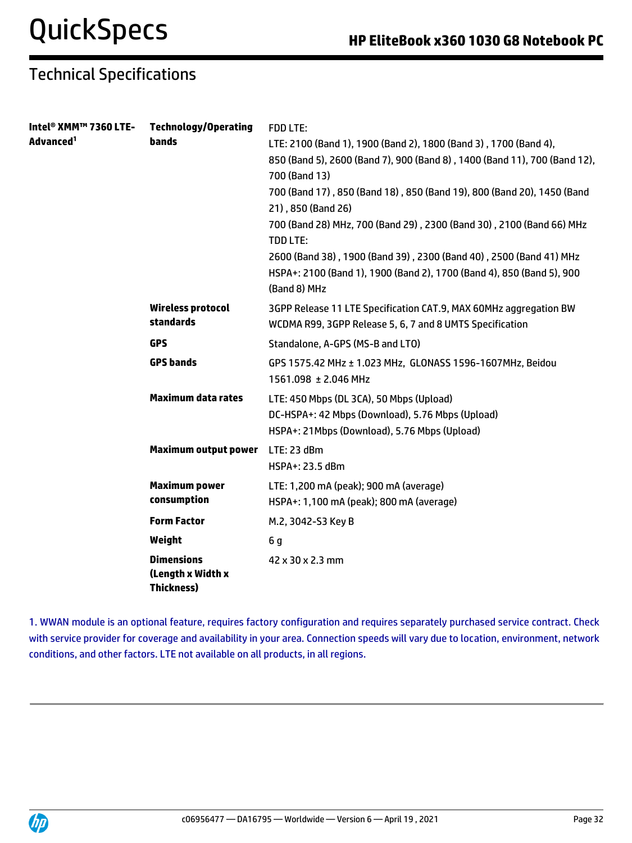| Intel® XMM™ 7360 LTE- | <b>Technology/Operating</b> | <b>FDD LTE:</b>                                                                         |
|-----------------------|-----------------------------|-----------------------------------------------------------------------------------------|
| Advanced <sup>1</sup> | <b>bands</b>                | LTE: 2100 (Band 1), 1900 (Band 2), 1800 (Band 3), 1700 (Band 4),                        |
|                       |                             | 850 (Band 5), 2600 (Band 7), 900 (Band 8), 1400 (Band 11), 700 (Band 12),               |
|                       |                             | 700 (Band 13)                                                                           |
|                       |                             | 700 (Band 17), 850 (Band 18), 850 (Band 19), 800 (Band 20), 1450 (Band                  |
|                       |                             | 21), 850 (Band 26)                                                                      |
|                       |                             | 700 (Band 28) MHz, 700 (Band 29), 2300 (Band 30), 2100 (Band 66) MHz<br><b>TDD LTE:</b> |
|                       |                             | 2600 (Band 38), 1900 (Band 39), 2300 (Band 40), 2500 (Band 41) MHz                      |
|                       |                             | HSPA+: 2100 (Band 1), 1900 (Band 2), 1700 (Band 4), 850 (Band 5), 900<br>(Band 8) MHz   |
|                       | <b>Wireless protocol</b>    | 3GPP Release 11 LTE Specification CAT.9, MAX 60MHz aggregation BW                       |
|                       | standards                   | WCDMA R99, 3GPP Release 5, 6, 7 and 8 UMTS Specification                                |
|                       | <b>GPS</b>                  | Standalone, A-GPS (MS-B and LTO)                                                        |
|                       | <b>GPS bands</b>            | GPS 1575.42 MHz ± 1.023 MHz, GLONASS 1596-1607MHz, Beidou                               |
|                       |                             | 1561.098 ± 2.046 MHz                                                                    |
|                       | <b>Maximum data rates</b>   | LTE: 450 Mbps (DL 3CA), 50 Mbps (Upload)                                                |
|                       |                             | DC-HSPA+: 42 Mbps (Download), 5.76 Mbps (Upload)                                        |
|                       |                             | HSPA+: 21Mbps (Download), 5.76 Mbps (Upload)                                            |
|                       | Maximum output power        | LTE: 23 dBm                                                                             |
|                       |                             | HSPA+: 23.5 dBm                                                                         |
|                       | <b>Maximum power</b>        | LTE: 1,200 mA (peak); 900 mA (average)                                                  |
|                       | consumption                 | HSPA+: 1,100 mA (peak); 800 mA (average)                                                |
|                       | <b>Form Factor</b>          | M.2, 3042-S3 Key B                                                                      |
|                       | Weight                      | 6g                                                                                      |
|                       | <b>Dimensions</b>           | 42 x 30 x 2.3 mm                                                                        |
|                       | (Length x Width x           |                                                                                         |
|                       | <b>Thickness)</b>           |                                                                                         |

1. WWAN module is an optional feature, requires factory configuration and requires separately purchased service contract. Check with service provider for coverage and availability in your area. Connection speeds will vary due to location, environment, network conditions, and other factors. LTE not available on all products, in all regions.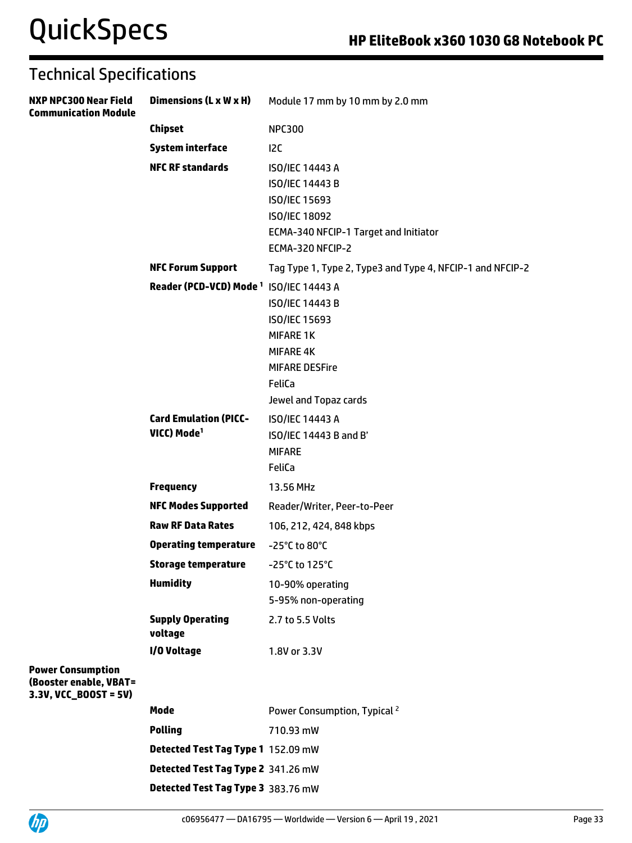| NXP NPC300 Near Field<br><b>Communication Module</b>                        | Dimensions (L x W x H)                                  | Module 17 mm by 10 mm by 2.0 mm                                                                                                             |
|-----------------------------------------------------------------------------|---------------------------------------------------------|---------------------------------------------------------------------------------------------------------------------------------------------|
|                                                                             | <b>Chipset</b>                                          | <b>NPC300</b>                                                                                                                               |
|                                                                             | <b>System interface</b>                                 | 12C                                                                                                                                         |
|                                                                             | <b>NFC RF standards</b>                                 | ISO/IEC 14443 A<br>ISO/IEC 14443 B<br>ISO/IEC 15693<br><b>ISO/IEC 18092</b><br>ECMA-340 NFCIP-1 Target and Initiator<br>ECMA-320 NFCIP-2    |
|                                                                             | <b>NFC Forum Support</b>                                | Tag Type 1, Type 2, Type3 and Type 4, NFCIP-1 and NFCIP-2                                                                                   |
|                                                                             | Reader (PCD-VCD) Mode <sup>1</sup> ISO/IEC 14443 A      | ISO/IEC 14443 B<br><b>ISO/IEC 15693</b><br><b>MIFARE 1K</b><br><b>MIFARE 4K</b><br><b>MIFARE DESFire</b><br>FeliCa<br>Jewel and Topaz cards |
|                                                                             | <b>Card Emulation (PICC-</b><br>VICC) Mode <sup>1</sup> | ISO/IEC 14443 A<br>ISO/IEC 14443 B and B'<br><b>MIFARE</b><br>FeliCa                                                                        |
|                                                                             | <b>Frequency</b>                                        | 13.56 MHz                                                                                                                                   |
|                                                                             | <b>NFC Modes Supported</b>                              | Reader/Writer, Peer-to-Peer                                                                                                                 |
|                                                                             | <b>Raw RF Data Rates</b>                                | 106, 212, 424, 848 kbps                                                                                                                     |
|                                                                             | <b>Operating temperature</b>                            | -25°C to 80°C                                                                                                                               |
|                                                                             | <b>Storage temperature</b>                              | -25°C to 125°C                                                                                                                              |
|                                                                             | <b>Humidity</b>                                         | 10-90% operating<br>5-95% non-operating                                                                                                     |
|                                                                             | <b>Supply Operating</b><br>voltage                      | 2.7 to 5.5 Volts                                                                                                                            |
|                                                                             | I/O Voltage                                             | 1.8V or 3.3V                                                                                                                                |
| <b>Power Consumption</b><br>(Booster enable, VBAT=<br>3.3V, VCC_BOOST = 5V) |                                                         |                                                                                                                                             |
|                                                                             | Mode                                                    | Power Consumption, Typical <sup>2</sup>                                                                                                     |
|                                                                             | <b>Polling</b>                                          | 710.93 mW                                                                                                                                   |
|                                                                             | Detected Test Tag Type 1 152.09 mW                      |                                                                                                                                             |
|                                                                             | Detected Test Tag Type 2 341.26 mW                      |                                                                                                                                             |
|                                                                             | Detected Test Tag Type 3 383.76 mW                      |                                                                                                                                             |

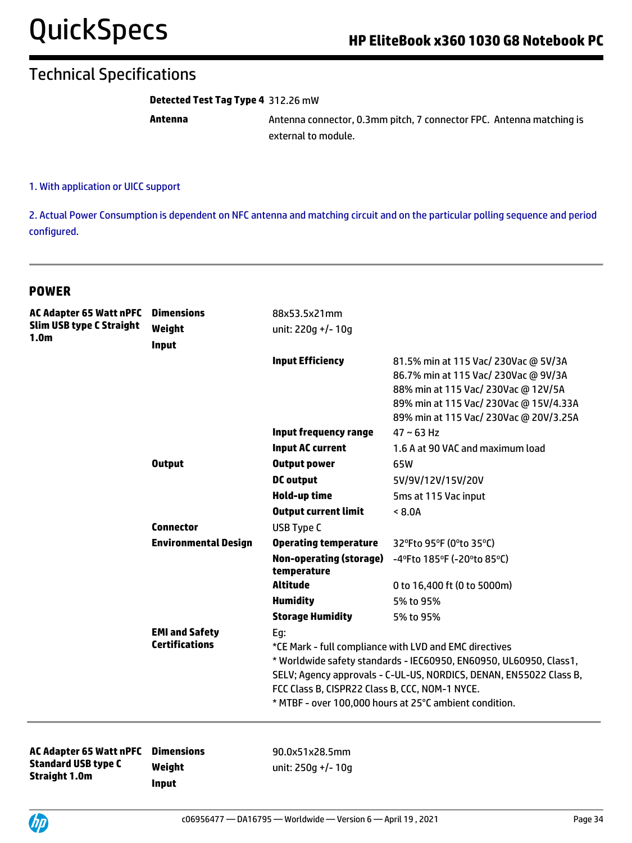## Technical Specifications

**Detected Test Tag Type 4** 312.26 mW

**Antenna** Antenna connector, 0.3mm pitch, 7 connector FPC. Antenna matching is external to module.

1. With application or UICC support

2. Actual Power Consumption is dependent on NFC antenna and matching circuit and on the particular polling sequence and period configured.

### **POWER**

| <b>AC Adapter 65 Watt nPFC</b><br>Slim USB type C Straight<br>1.0 <sub>m</sub> | <b>Dimensions</b><br>Weight<br>Input            | 88x53.5x21mm<br>unit: 220q +/- 10q                                                                                                                                                                                                                          |                                                                                                                                                                                                         |  |  |  |
|--------------------------------------------------------------------------------|-------------------------------------------------|-------------------------------------------------------------------------------------------------------------------------------------------------------------------------------------------------------------------------------------------------------------|---------------------------------------------------------------------------------------------------------------------------------------------------------------------------------------------------------|--|--|--|
|                                                                                |                                                 | <b>Input Efficiency</b>                                                                                                                                                                                                                                     | 81.5% min at 115 Vac/ 230Vac @ 5V/3A<br>86.7% min at 115 Vac/ 230Vac @ 9V/3A<br>88% min at 115 Vac/ 230Vac @ 12V/5A<br>89% min at 115 Vac/ 230Vac @ 15V/4.33A<br>89% min at 115 Vac/ 230Vac @ 20V/3.25A |  |  |  |
|                                                                                |                                                 | Input frequency range                                                                                                                                                                                                                                       | $47 \sim 63$ Hz                                                                                                                                                                                         |  |  |  |
|                                                                                |                                                 | <b>Input AC current</b>                                                                                                                                                                                                                                     | 1.6 A at 90 VAC and maximum load                                                                                                                                                                        |  |  |  |
|                                                                                | <b>Output</b>                                   | <b>Output power</b>                                                                                                                                                                                                                                         | 65W<br>5V/9V/12V/15V/20V<br>5ms at 115 Vac input                                                                                                                                                        |  |  |  |
|                                                                                |                                                 | <b>DC</b> output<br>Hold-up time<br><b>Output current limit</b><br><b>USB Type C</b>                                                                                                                                                                        |                                                                                                                                                                                                         |  |  |  |
|                                                                                |                                                 |                                                                                                                                                                                                                                                             |                                                                                                                                                                                                         |  |  |  |
|                                                                                | <b>Connector</b><br><b>Environmental Design</b> |                                                                                                                                                                                                                                                             | < 8.0A                                                                                                                                                                                                  |  |  |  |
|                                                                                |                                                 |                                                                                                                                                                                                                                                             |                                                                                                                                                                                                         |  |  |  |
|                                                                                |                                                 | <b>Operating temperature</b>                                                                                                                                                                                                                                | 32°Fto 95°F (0°to 35°C)                                                                                                                                                                                 |  |  |  |
|                                                                                |                                                 | <b>Non-operating (storage)</b><br>temperature                                                                                                                                                                                                               | -4°Fto 185°F (-20°to 85°C)                                                                                                                                                                              |  |  |  |
|                                                                                |                                                 | <b>Altitude</b>                                                                                                                                                                                                                                             | 0 to 16,400 ft (0 to 5000m)<br>5% to 95%                                                                                                                                                                |  |  |  |
|                                                                                |                                                 | <b>Humidity</b>                                                                                                                                                                                                                                             |                                                                                                                                                                                                         |  |  |  |
|                                                                                |                                                 | <b>Storage Humidity</b>                                                                                                                                                                                                                                     | 5% to 95%                                                                                                                                                                                               |  |  |  |
|                                                                                | <b>EMI and Safety</b><br><b>Certifications</b>  | Eg:<br>*CE Mark - full compliance with LVD and EMC directives<br>* Worldwide safety standards - IEC60950, EN60950, UL60950, Class1,<br>SELV; Agency approvals - C-UL-US, NORDICS, DENAN, EN55022 Class B,<br>FCC Class B, CISPR22 Class B, CCC, NOM-1 NYCE. |                                                                                                                                                                                                         |  |  |  |
| <b>AC Adapter 65 Watt nPFC</b>                                                 | <b>Dimensions</b>                               | 90.0x51x28.5mm                                                                                                                                                                                                                                              | * MTBF - over 100,000 hours at 25°C ambient condition.                                                                                                                                                  |  |  |  |
| <b>Standard USB type C</b>                                                     | Weight                                          | unit: 250g +/- 10g                                                                                                                                                                                                                                          |                                                                                                                                                                                                         |  |  |  |
| <b>Straight 1.0m</b>                                                           | Input                                           |                                                                                                                                                                                                                                                             |                                                                                                                                                                                                         |  |  |  |

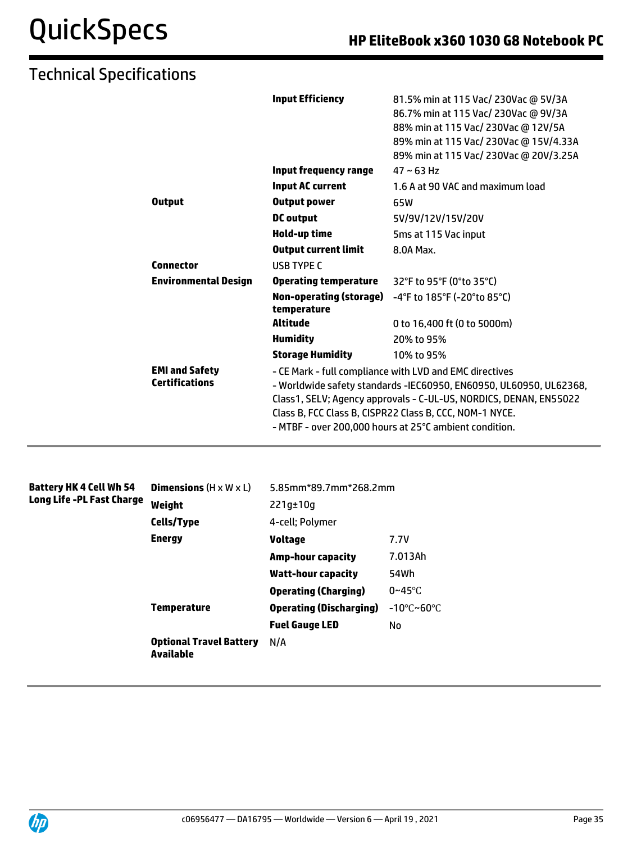| <b>Technical Specifications</b>                             |                                                                          |                                                                               |                                                                                                                                                                                                                                                                                                                         |
|-------------------------------------------------------------|--------------------------------------------------------------------------|-------------------------------------------------------------------------------|-------------------------------------------------------------------------------------------------------------------------------------------------------------------------------------------------------------------------------------------------------------------------------------------------------------------------|
|                                                             |                                                                          | <b>Input Efficiency</b><br><b>Input frequency range</b>                       | 81.5% min at 115 Vac/ 230Vac @ 5V/3A<br>86.7% min at 115 Vac/ 230Vac @ 9V/3A<br>88% min at 115 Vac/ 230Vac @ 12V/5A<br>89% min at 115 Vac/ 230Vac @ 15V/4.33A<br>89% min at 115 Vac/ 230Vac @ 20V/3.25A<br>$47 - 63$ Hz                                                                                                 |
|                                                             |                                                                          | <b>Input AC current</b>                                                       | 1.6 A at 90 VAC and maximum load                                                                                                                                                                                                                                                                                        |
|                                                             | <b>Output</b>                                                            | <b>Output power</b>                                                           | 65W                                                                                                                                                                                                                                                                                                                     |
|                                                             |                                                                          | <b>DC</b> output                                                              | 5V/9V/12V/15V/20V                                                                                                                                                                                                                                                                                                       |
|                                                             |                                                                          | Hold-up time                                                                  | 5ms at 115 Vac input                                                                                                                                                                                                                                                                                                    |
|                                                             |                                                                          | <b>Output current limit</b>                                                   | 8.0A Max.                                                                                                                                                                                                                                                                                                               |
|                                                             | <b>Connector</b>                                                         | <b>USB TYPE C</b>                                                             |                                                                                                                                                                                                                                                                                                                         |
|                                                             | <b>Environmental Design</b>                                              | <b>Operating temperature</b><br><b>Non-operating (storage)</b><br>temperature | 32°F to 95°F (0°to 35°C)<br>-4°F to 185°F (-20°to 85°C)                                                                                                                                                                                                                                                                 |
|                                                             |                                                                          | <b>Altitude</b>                                                               | 0 to 16,400 ft (0 to 5000m)                                                                                                                                                                                                                                                                                             |
|                                                             |                                                                          | <b>Humidity</b>                                                               | 20% to 95%                                                                                                                                                                                                                                                                                                              |
|                                                             |                                                                          | <b>Storage Humidity</b>                                                       | 10% to 95%                                                                                                                                                                                                                                                                                                              |
|                                                             | <b>EMI and Safety</b><br><b>Certifications</b>                           |                                                                               | - CE Mark - full compliance with LVD and EMC directives<br>- Worldwide safety standards -IEC60950, EN60950, UL60950, UL62368,<br>Class1, SELV; Agency approvals - C-UL-US, NORDICS, DENAN, EN55022<br>Class B, FCC Class B, CISPR22 Class B, CCC, NOM-1 NYCE.<br>- MTBF - over 200,000 hours at 25°C ambient condition. |
| Battery HK 4 Cell Wh 54<br><b>Long Life -PL Fast Charge</b> | <b>Dimensions</b> $(H \times W \times L)$<br>Weight<br><b>Cells/Type</b> | 5.85mm*89.7mm*268.2mm<br>221g±10g<br>4-cell; Polymer                          |                                                                                                                                                                                                                                                                                                                         |
|                                                             | <b>Energy</b>                                                            | <b>Voltage</b>                                                                | 7.7V                                                                                                                                                                                                                                                                                                                    |
|                                                             |                                                                          | <b>Amp-hour capacity</b>                                                      | 7.013Ah                                                                                                                                                                                                                                                                                                                 |
|                                                             |                                                                          | <b>Watt-hour capacity</b>                                                     | 54Wh                                                                                                                                                                                                                                                                                                                    |
|                                                             |                                                                          | <b>Operating (Charging)</b>                                                   | $0 - 45$ °C                                                                                                                                                                                                                                                                                                             |
|                                                             | <b>Temperature</b>                                                       | <b>Operating (Discharging)</b>                                                | $-10^{\circ}$ C~60 $^{\circ}$ C                                                                                                                                                                                                                                                                                         |
|                                                             |                                                                          | <b>Fuel Gauge LED</b>                                                         | No                                                                                                                                                                                                                                                                                                                      |
|                                                             | <b>Optional Travel Battery</b><br><b>Available</b>                       | N/A                                                                           |                                                                                                                                                                                                                                                                                                                         |
|                                                             |                                                                          |                                                                               |                                                                                                                                                                                                                                                                                                                         |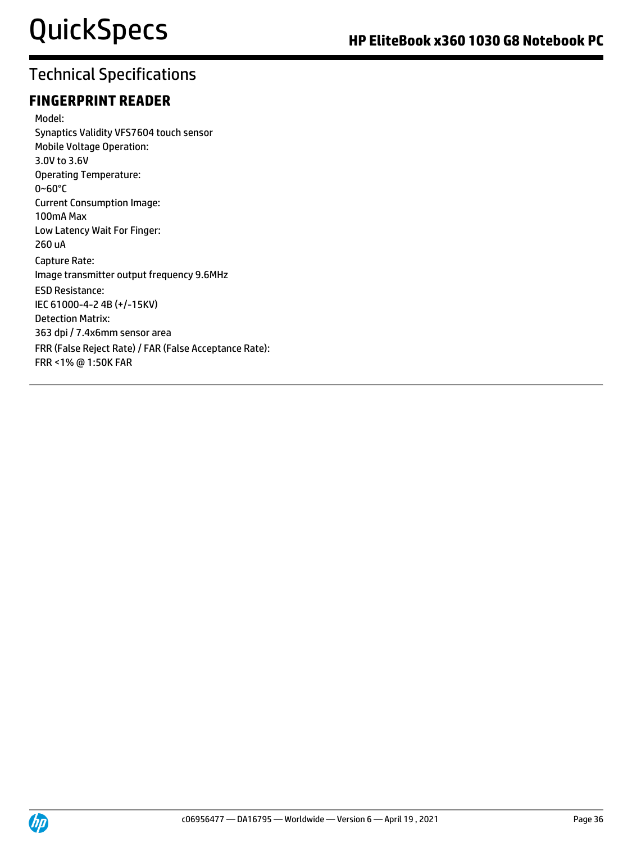## **FINGERPRINT READER**

Model: Synaptics Validity VFS7604 touch sensor Mobile Voltage Operation: 3.0V to 3.6V Operating Temperature: 0~60°C Current Consumption Image: 100mA Max Low Latency Wait For Finger: 260 uA Capture Rate: Image transmitter output frequency 9.6MHz ESD Resistance: IEC 61000-4-2 4B (+/-15KV) Detection Matrix: 363 dpi / 7.4x6mm sensor area FRR (False Reject Rate) / FAR (False Acceptance Rate): FRR <1% @ 1:50K FAR

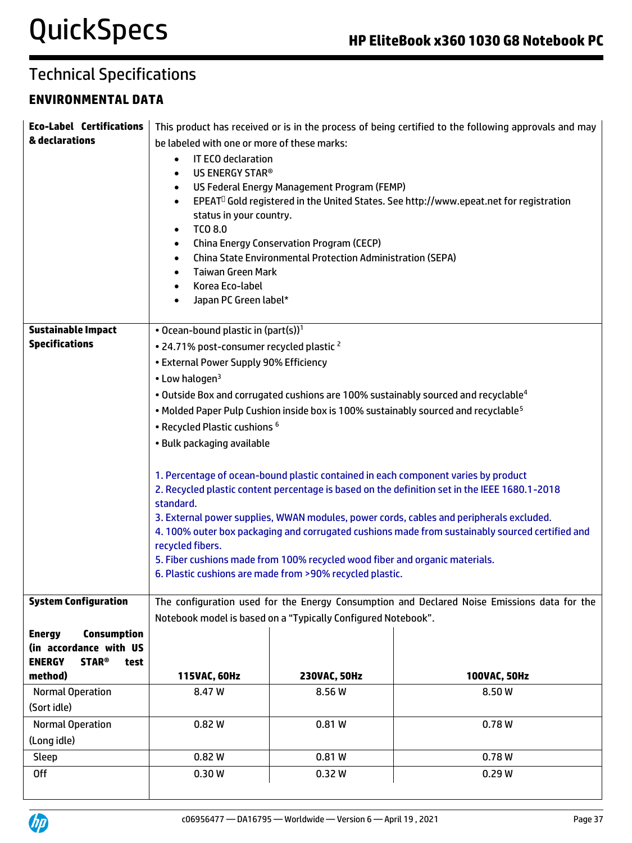## **ENVIRONMENTAL DATA**

i.

| <b>Eco-Label Certifications</b>                  | This product has received or is in the process of being certified to the following approvals and may                            |                                                                   |                                                                                                    |  |  |  |
|--------------------------------------------------|---------------------------------------------------------------------------------------------------------------------------------|-------------------------------------------------------------------|----------------------------------------------------------------------------------------------------|--|--|--|
| & declarations                                   | be labeled with one or more of these marks:                                                                                     |                                                                   |                                                                                                    |  |  |  |
|                                                  | IT ECO declaration<br>$\bullet$                                                                                                 |                                                                   |                                                                                                    |  |  |  |
|                                                  | US ENERGY STAR®                                                                                                                 |                                                                   |                                                                                                    |  |  |  |
|                                                  | $\bullet$                                                                                                                       | US Federal Energy Management Program (FEMP)                       |                                                                                                    |  |  |  |
|                                                  | $\bullet$<br>status in your country.                                                                                            |                                                                   | EPEAT <sup>0</sup> Gold registered in the United States. See http://www.epeat.net for registration |  |  |  |
|                                                  | TCO 8.0<br>$\bullet$                                                                                                            |                                                                   |                                                                                                    |  |  |  |
|                                                  |                                                                                                                                 | China Energy Conservation Program (CECP)                          |                                                                                                    |  |  |  |
|                                                  | $\bullet$                                                                                                                       | <b>China State Environmental Protection Administration (SEPA)</b> |                                                                                                    |  |  |  |
|                                                  |                                                                                                                                 | <b>Taiwan Green Mark</b>                                          |                                                                                                    |  |  |  |
|                                                  | Korea Eco-label<br>$\bullet$                                                                                                    |                                                                   |                                                                                                    |  |  |  |
|                                                  | Japan PC Green label*                                                                                                           |                                                                   |                                                                                                    |  |  |  |
| <b>Sustainable Impact</b>                        | • Ocean-bound plastic in $(part(s))^1$                                                                                          |                                                                   |                                                                                                    |  |  |  |
| <b>Specifications</b>                            | . 24.71% post-consumer recycled plastic <sup>2</sup>                                                                            |                                                                   |                                                                                                    |  |  |  |
|                                                  | • External Power Supply 90% Efficiency                                                                                          |                                                                   |                                                                                                    |  |  |  |
|                                                  | • Low halogen <sup>3</sup>                                                                                                      |                                                                   |                                                                                                    |  |  |  |
|                                                  |                                                                                                                                 |                                                                   | . Outside Box and corrugated cushions are 100% sustainably sourced and recyclable <sup>4</sup>     |  |  |  |
|                                                  |                                                                                                                                 |                                                                   |                                                                                                    |  |  |  |
|                                                  | . Molded Paper Pulp Cushion inside box is 100% sustainably sourced and recyclable <sup>5</sup><br>• Recycled Plastic cushions 6 |                                                                   |                                                                                                    |  |  |  |
|                                                  | • Bulk packaging available                                                                                                      |                                                                   |                                                                                                    |  |  |  |
|                                                  |                                                                                                                                 |                                                                   |                                                                                                    |  |  |  |
|                                                  |                                                                                                                                 |                                                                   | 1. Percentage of ocean-bound plastic contained in each component varies by product                 |  |  |  |
|                                                  |                                                                                                                                 |                                                                   | 2. Recycled plastic content percentage is based on the definition set in the IEEE 1680.1-2018      |  |  |  |
|                                                  | standard.                                                                                                                       |                                                                   |                                                                                                    |  |  |  |
|                                                  |                                                                                                                                 |                                                                   | 3. External power supplies, WWAN modules, power cords, cables and peripherals excluded.            |  |  |  |
|                                                  |                                                                                                                                 |                                                                   | 4. 100% outer box packaging and corrugated cushions made from sustainably sourced certified and    |  |  |  |
|                                                  | recycled fibers.<br>5. Fiber cushions made from 100% recycled wood fiber and organic materials.                                 |                                                                   |                                                                                                    |  |  |  |
|                                                  | 6. Plastic cushions are made from >90% recycled plastic.                                                                        |                                                                   |                                                                                                    |  |  |  |
|                                                  |                                                                                                                                 |                                                                   |                                                                                                    |  |  |  |
| <b>System Configuration</b>                      |                                                                                                                                 |                                                                   | The configuration used for the Energy Consumption and Declared Noise Emissions data for the        |  |  |  |
|                                                  | Notebook model is based on a "Typically Configured Notebook".                                                                   |                                                                   |                                                                                                    |  |  |  |
| <b>Energy</b><br>Consumption                     |                                                                                                                                 |                                                                   |                                                                                                    |  |  |  |
| (in accordance with US                           |                                                                                                                                 |                                                                   |                                                                                                    |  |  |  |
| <b>ENERGY</b><br><b>STAR®</b><br>test<br>method) | 115VAC, 60Hz                                                                                                                    | 230VAC, 50Hz                                                      | 100VAC, 50Hz                                                                                       |  |  |  |
| <b>Normal Operation</b>                          | 8.47 W                                                                                                                          | 8.56W                                                             | 8.50W                                                                                              |  |  |  |
| (Sort idle)                                      |                                                                                                                                 |                                                                   |                                                                                                    |  |  |  |
| <b>Normal Operation</b>                          | 0.82W                                                                                                                           | 0.81W                                                             | 0.78W                                                                                              |  |  |  |
| (Long idle)                                      |                                                                                                                                 |                                                                   |                                                                                                    |  |  |  |
| Sleep                                            | 0.82W                                                                                                                           | 0.81W                                                             | 0.78W                                                                                              |  |  |  |
| Off                                              | 0.30W                                                                                                                           | 0.32W                                                             | 0.29W                                                                                              |  |  |  |
|                                                  |                                                                                                                                 |                                                                   |                                                                                                    |  |  |  |

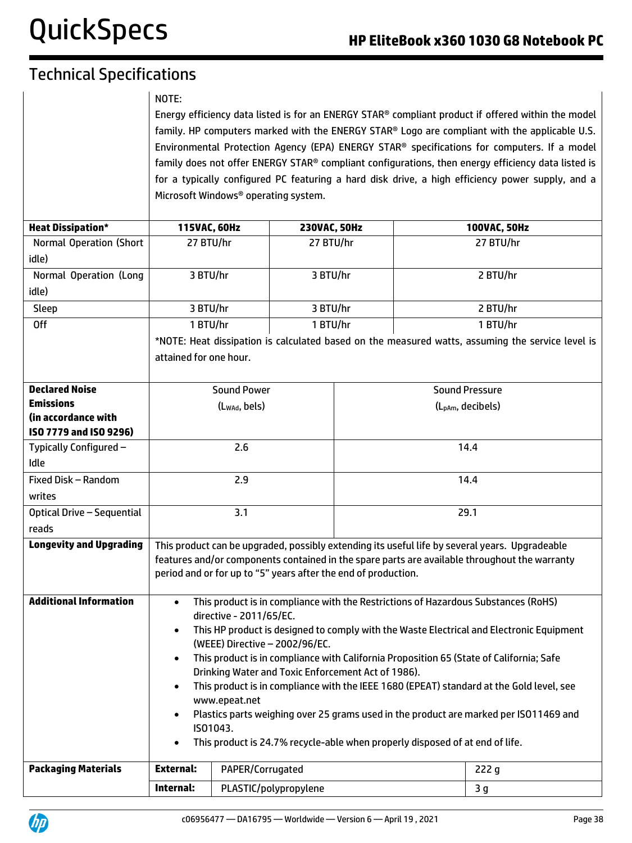### NOTE:

Energy efficiency data listed is for an ENERGY STAR® compliant product if offered within the model family. HP computers marked with the ENERGY STAR® Logo are compliant with the applicable U.S. Environmental Protection Agency (EPA) ENERGY STAR® specifications for computers. If a model family does not offer ENERGY STAR® compliant configurations, then energy efficiency data listed is for a typically configured PC featuring a hard disk drive, a high efficiency power supply, and a Microsoft Windows® operating system.

| <b>Heat Dissipation*</b>          | 115VAC, 60Hz                                                                                                                                                                                    |                          | 230VAC, 50Hz                                                   |      |           | 100VAC, 50Hz                                                                                     |
|-----------------------------------|-------------------------------------------------------------------------------------------------------------------------------------------------------------------------------------------------|--------------------------|----------------------------------------------------------------|------|-----------|--------------------------------------------------------------------------------------------------|
| Normal Operation (Short<br>idle)  | 27 BTU/hr                                                                                                                                                                                       | 27 BTU/hr                |                                                                |      | 27 BTU/hr |                                                                                                  |
| Normal Operation (Long            | 3 BTU/hr                                                                                                                                                                                        |                          | 3 BTU/hr                                                       |      |           | 2 BTU/hr                                                                                         |
| idle)                             |                                                                                                                                                                                                 |                          |                                                                |      |           |                                                                                                  |
| Sleep                             | 3 BTU/hr                                                                                                                                                                                        |                          | 3 BTU/hr                                                       |      |           | 2 BTU/hr                                                                                         |
| <b>Off</b>                        | 1 BTU/hr                                                                                                                                                                                        |                          | 1 BTU/hr                                                       |      |           | 1 BTU/hr                                                                                         |
|                                   |                                                                                                                                                                                                 |                          |                                                                |      |           | *NOTE: Heat dissipation is calculated based on the measured watts, assuming the service level is |
|                                   | attained for one hour.                                                                                                                                                                          |                          |                                                                |      |           |                                                                                                  |
|                                   |                                                                                                                                                                                                 |                          |                                                                |      |           |                                                                                                  |
| <b>Declared Noise</b>             |                                                                                                                                                                                                 | <b>Sound Power</b>       |                                                                |      |           | <b>Sound Pressure</b>                                                                            |
| <b>Emissions</b>                  |                                                                                                                                                                                                 | $(L_{WAd}, \text{bels})$ |                                                                |      |           | (L <sub>pAm</sub> , decibels)                                                                    |
| (in accordance with               |                                                                                                                                                                                                 |                          |                                                                |      |           |                                                                                                  |
| ISO 7779 and ISO 9296)            |                                                                                                                                                                                                 |                          |                                                                |      |           |                                                                                                  |
| Typically Configured -            |                                                                                                                                                                                                 | 2.6                      |                                                                |      | 14.4      |                                                                                                  |
| Idle                              |                                                                                                                                                                                                 |                          |                                                                |      |           |                                                                                                  |
| Fixed Disk - Random               | 2.9                                                                                                                                                                                             |                          |                                                                | 14.4 |           |                                                                                                  |
| writes                            |                                                                                                                                                                                                 |                          |                                                                |      |           |                                                                                                  |
| <b>Optical Drive - Sequential</b> | 3.1                                                                                                                                                                                             |                          |                                                                | 29.1 |           |                                                                                                  |
| reads                             |                                                                                                                                                                                                 |                          |                                                                |      |           |                                                                                                  |
| <b>Longevity and Upgrading</b>    | This product can be upgraded, possibly extending its useful life by several years. Upgradeable<br>features and/or components contained in the spare parts are available throughout the warranty |                          |                                                                |      |           |                                                                                                  |
|                                   |                                                                                                                                                                                                 |                          |                                                                |      |           |                                                                                                  |
|                                   |                                                                                                                                                                                                 |                          | period and or for up to "5" years after the end of production. |      |           |                                                                                                  |
| <b>Additional Information</b>     | $\bullet$                                                                                                                                                                                       |                          |                                                                |      |           | This product is in compliance with the Restrictions of Hazardous Substances (RoHS)               |
|                                   | directive - 2011/65/EC.                                                                                                                                                                         |                          |                                                                |      |           |                                                                                                  |
|                                   | This HP product is designed to comply with the Waste Electrical and Electronic Equipment                                                                                                        |                          |                                                                |      |           |                                                                                                  |
|                                   | (WEEE) Directive - 2002/96/EC.                                                                                                                                                                  |                          |                                                                |      |           |                                                                                                  |
|                                   | This product is in compliance with California Proposition 65 (State of California; Safe                                                                                                         |                          |                                                                |      |           |                                                                                                  |
|                                   | Drinking Water and Toxic Enforcement Act of 1986).                                                                                                                                              |                          |                                                                |      |           |                                                                                                  |
|                                   | This product is in compliance with the IEEE 1680 (EPEAT) standard at the Gold level, see                                                                                                        |                          |                                                                |      |           |                                                                                                  |
|                                   | www.epeat.net<br>Plastics parts weighing over 25 grams used in the product are marked per ISO11469 and                                                                                          |                          |                                                                |      |           |                                                                                                  |
|                                   | ISO1043.                                                                                                                                                                                        |                          |                                                                |      |           |                                                                                                  |
|                                   | This product is 24.7% recycle-able when properly disposed of at end of life.                                                                                                                    |                          |                                                                |      |           |                                                                                                  |
| <b>Packaging Materials</b>        | <b>External:</b>                                                                                                                                                                                | PAPER/Corrugated         |                                                                |      |           | 222g                                                                                             |
|                                   | Internal:<br>PLASTIC/polypropylene<br>3g                                                                                                                                                        |                          |                                                                |      |           |                                                                                                  |

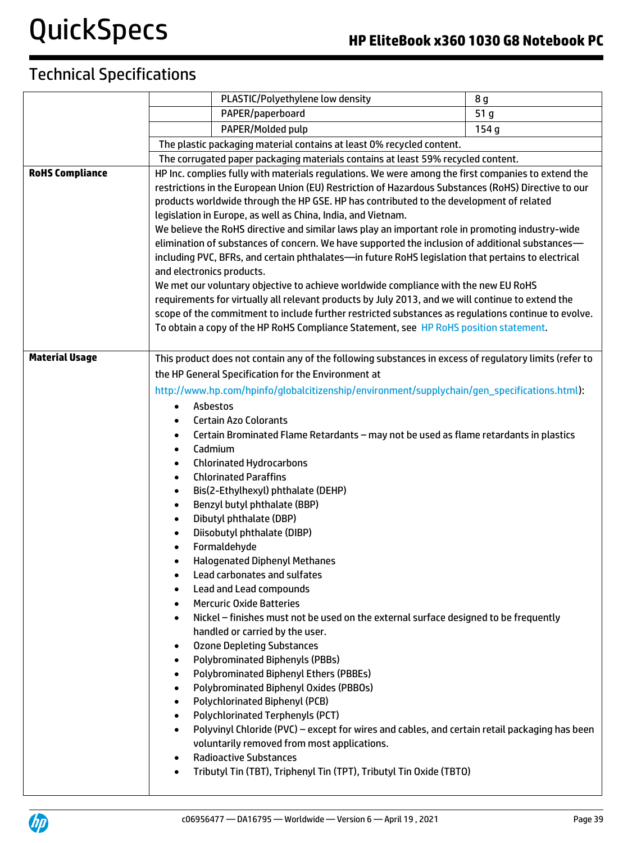|                        |                                                                                                     | PLASTIC/Polyethylene low density                                                                                                             | 8g              |  |  |  |
|------------------------|-----------------------------------------------------------------------------------------------------|----------------------------------------------------------------------------------------------------------------------------------------------|-----------------|--|--|--|
|                        |                                                                                                     | PAPER/paperboard                                                                                                                             | 51 <sub>g</sub> |  |  |  |
|                        |                                                                                                     | PAPER/Molded pulp                                                                                                                            | 154 g           |  |  |  |
|                        |                                                                                                     | The plastic packaging material contains at least 0% recycled content.                                                                        |                 |  |  |  |
|                        | The corrugated paper packaging materials contains at least 59% recycled content.                    |                                                                                                                                              |                 |  |  |  |
| <b>RoHS Compliance</b> |                                                                                                     | HP Inc. complies fully with materials regulations. We were among the first companies to extend the                                           |                 |  |  |  |
|                        | restrictions in the European Union (EU) Restriction of Hazardous Substances (RoHS) Directive to our |                                                                                                                                              |                 |  |  |  |
|                        |                                                                                                     | products worldwide through the HP GSE. HP has contributed to the development of related                                                      |                 |  |  |  |
|                        |                                                                                                     | legislation in Europe, as well as China, India, and Vietnam.                                                                                 |                 |  |  |  |
|                        |                                                                                                     | We believe the RoHS directive and similar laws play an important role in promoting industry-wide                                             |                 |  |  |  |
|                        | elimination of substances of concern. We have supported the inclusion of additional substances—     |                                                                                                                                              |                 |  |  |  |
|                        | including PVC, BFRs, and certain phthalates-in future RoHS legislation that pertains to electrical  |                                                                                                                                              |                 |  |  |  |
|                        | and electronics products.                                                                           |                                                                                                                                              |                 |  |  |  |
|                        |                                                                                                     | We met our voluntary objective to achieve worldwide compliance with the new EU RoHS                                                          |                 |  |  |  |
|                        |                                                                                                     | requirements for virtually all relevant products by July 2013, and we will continue to extend the                                            |                 |  |  |  |
|                        |                                                                                                     | scope of the commitment to include further restricted substances as regulations continue to evolve.                                          |                 |  |  |  |
|                        |                                                                                                     | To obtain a copy of the HP RoHS Compliance Statement, see HP RoHS position statement.                                                        |                 |  |  |  |
| <b>Material Usage</b>  |                                                                                                     | This product does not contain any of the following substances in excess of regulatory limits (refer to                                       |                 |  |  |  |
|                        |                                                                                                     |                                                                                                                                              |                 |  |  |  |
|                        |                                                                                                     | the HP General Specification for the Environment at                                                                                          |                 |  |  |  |
|                        |                                                                                                     | http://www.hp.com/hpinfo/globalcitizenship/environment/supplychain/gen_specifications.html):                                                 |                 |  |  |  |
|                        | Asbestos<br>$\bullet$                                                                               |                                                                                                                                              |                 |  |  |  |
|                        | <b>Certain Azo Colorants</b><br>$\bullet$                                                           |                                                                                                                                              |                 |  |  |  |
|                        | $\bullet$                                                                                           | Certain Brominated Flame Retardants - may not be used as flame retardants in plastics                                                        |                 |  |  |  |
|                        | $\bullet$                                                                                           | Cadmium                                                                                                                                      |                 |  |  |  |
|                        | ٠                                                                                                   | <b>Chlorinated Hydrocarbons</b>                                                                                                              |                 |  |  |  |
|                        | $\bullet$                                                                                           | <b>Chlorinated Paraffins</b>                                                                                                                 |                 |  |  |  |
|                        | $\bullet$<br>$\bullet$                                                                              | Bis(2-Ethylhexyl) phthalate (DEHP)<br>Benzyl butyl phthalate (BBP)                                                                           |                 |  |  |  |
|                        | $\bullet$                                                                                           | Dibutyl phthalate (DBP)                                                                                                                      |                 |  |  |  |
|                        | ٠                                                                                                   | Diisobutyl phthalate (DIBP)                                                                                                                  |                 |  |  |  |
|                        |                                                                                                     | Formaldehyde                                                                                                                                 |                 |  |  |  |
|                        | $\bullet$                                                                                           | <b>Halogenated Diphenyl Methanes</b>                                                                                                         |                 |  |  |  |
|                        |                                                                                                     | Lead carbonates and sulfates                                                                                                                 |                 |  |  |  |
|                        |                                                                                                     | Lead and Lead compounds                                                                                                                      |                 |  |  |  |
|                        | $\bullet$                                                                                           | <b>Mercuric Oxide Batteries</b>                                                                                                              |                 |  |  |  |
|                        | $\bullet$                                                                                           | Nickel - finishes must not be used on the external surface designed to be frequently                                                         |                 |  |  |  |
|                        |                                                                                                     | handled or carried by the user.                                                                                                              |                 |  |  |  |
|                        | ٠                                                                                                   | <b>Ozone Depleting Substances</b>                                                                                                            |                 |  |  |  |
|                        | ٠                                                                                                   | <b>Polybrominated Biphenyls (PBBs)</b>                                                                                                       |                 |  |  |  |
|                        | ٠                                                                                                   | Polybrominated Biphenyl Ethers (PBBEs)                                                                                                       |                 |  |  |  |
|                        | $\bullet$                                                                                           | Polybrominated Biphenyl Oxides (PBBOs)                                                                                                       |                 |  |  |  |
|                        | $\bullet$                                                                                           | Polychlorinated Biphenyl (PCB)                                                                                                               |                 |  |  |  |
|                        | ٠                                                                                                   | Polychlorinated Terphenyls (PCT)                                                                                                             |                 |  |  |  |
|                        |                                                                                                     | Polyvinyl Chloride (PVC) - except for wires and cables, and certain retail packaging has been<br>voluntarily removed from most applications. |                 |  |  |  |
|                        |                                                                                                     | <b>Radioactive Substances</b>                                                                                                                |                 |  |  |  |
|                        | ٠<br>$\bullet$                                                                                      | Tributyl Tin (TBT), Triphenyl Tin (TPT), Tributyl Tin Oxide (TBTO)                                                                           |                 |  |  |  |
|                        |                                                                                                     |                                                                                                                                              |                 |  |  |  |

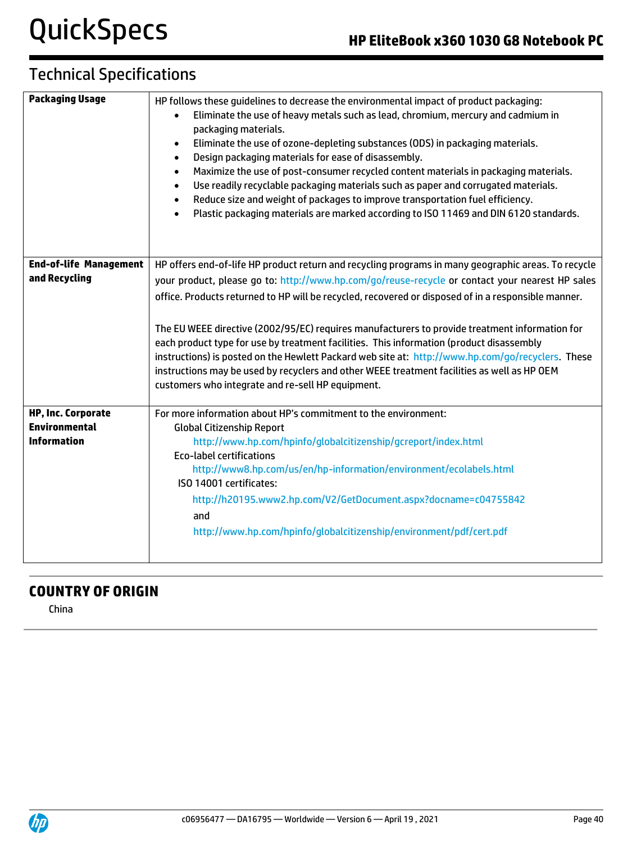## Technical Specifications

| <b>Packaging Usage</b>                                                  | HP follows these guidelines to decrease the environmental impact of product packaging:<br>Eliminate the use of heavy metals such as lead, chromium, mercury and cadmium in<br>packaging materials.<br>Eliminate the use of ozone-depleting substances (ODS) in packaging materials.<br>$\bullet$<br>Design packaging materials for ease of disassembly.<br>$\bullet$<br>Maximize the use of post-consumer recycled content materials in packaging materials.<br>$\bullet$<br>Use readily recyclable packaging materials such as paper and corrugated materials.<br>$\bullet$<br>Reduce size and weight of packages to improve transportation fuel efficiency.<br>$\bullet$<br>Plastic packaging materials are marked according to ISO 11469 and DIN 6120 standards.<br>$\bullet$ |
|-------------------------------------------------------------------------|----------------------------------------------------------------------------------------------------------------------------------------------------------------------------------------------------------------------------------------------------------------------------------------------------------------------------------------------------------------------------------------------------------------------------------------------------------------------------------------------------------------------------------------------------------------------------------------------------------------------------------------------------------------------------------------------------------------------------------------------------------------------------------|
| <b>End-of-life Management</b>                                           | HP offers end-of-life HP product return and recycling programs in many geographic areas. To recycle                                                                                                                                                                                                                                                                                                                                                                                                                                                                                                                                                                                                                                                                              |
| and Recycling                                                           | your product, please go to: http://www.hp.com/go/reuse-recycle or contact your nearest HP sales<br>office. Products returned to HP will be recycled, recovered or disposed of in a responsible manner.<br>The EU WEEE directive (2002/95/EC) requires manufacturers to provide treatment information for<br>each product type for use by treatment facilities. This information (product disassembly<br>instructions) is posted on the Hewlett Packard web site at: http://www.hp.com/go/recyclers. These<br>instructions may be used by recyclers and other WEEE treatment facilities as well as HP OEM                                                                                                                                                                         |
|                                                                         | customers who integrate and re-sell HP equipment.                                                                                                                                                                                                                                                                                                                                                                                                                                                                                                                                                                                                                                                                                                                                |
| <b>HP, Inc. Corporate</b><br><b>Environmental</b><br><b>Information</b> | For more information about HP's commitment to the environment:<br><b>Global Citizenship Report</b><br>http://www.hp.com/hpinfo/globalcitizenship/gcreport/index.html<br><b>Eco-label certifications</b><br>http://www8.hp.com/us/en/hp-information/environment/ecolabels.html<br>ISO 14001 certificates:<br>http://h20195.www2.hp.com/V2/GetDocument.aspx?docname=c04755842<br>and<br>http://www.hp.com/hpinfo/globalcitizenship/environment/pdf/cert.pdf                                                                                                                                                                                                                                                                                                                        |

## **COUNTRY OF ORIGIN**

China

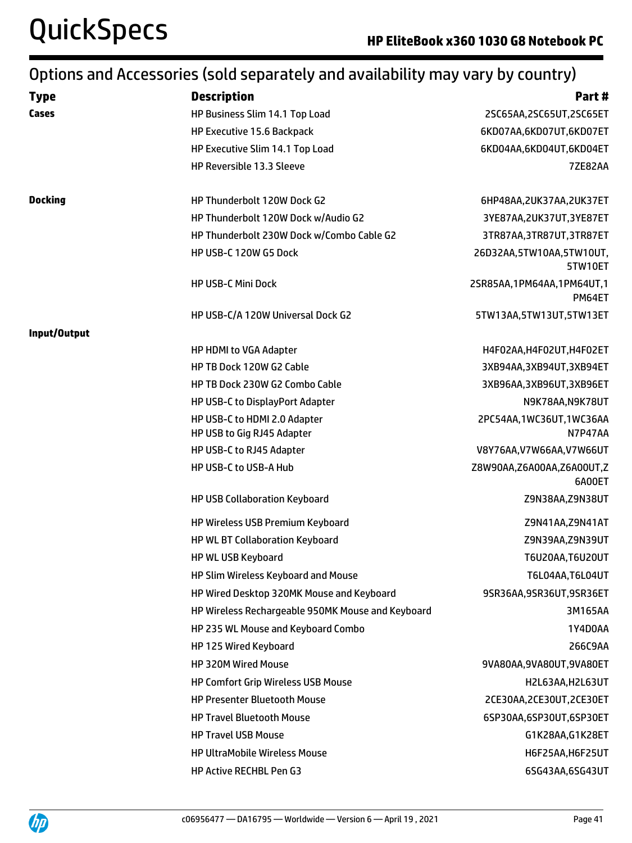# Options and Accessories (sold separately and availability may vary by country)

| <b>Type</b>    | <b>Description</b>                                         | Part#                                  |
|----------------|------------------------------------------------------------|----------------------------------------|
| Cases          | HP Business Slim 14.1 Top Load                             | 2SC65AA,2SC65UT,2SC65ET                |
|                | HP Executive 15.6 Backpack                                 | 6KD07AA,6KD07UT,6KD07ET                |
|                | HP Executive Slim 14.1 Top Load                            | 6KD04AA,6KD04UT,6KD04ET                |
|                | HP Reversible 13.3 Sleeve                                  | <b>7ZE82AA</b>                         |
| <b>Docking</b> | HP Thunderbolt 120W Dock G2                                | 6HP48AA,2UK37AA,2UK37ET                |
|                | HP Thunderbolt 120W Dock w/Audio G2                        | 3YE87AA,2UK37UT,3YE87ET                |
|                | HP Thunderbolt 230W Dock w/Combo Cable G2                  | 3TR87AA,3TR87UT,3TR87ET                |
|                | HP USB-C 120W G5 Dock                                      | 26D32AA,5TW10AA,5TW10UT,<br>5TW10ET    |
|                | <b>HP USB-C Mini Dock</b>                                  | 2SR85AA, 1PM64AA, 1PM64UT, 1<br>PM64ET |
|                | HP USB-C/A 120W Universal Dock G2                          | 5TW13AA,5TW13UT,5TW13ET                |
| Input/Output   |                                                            |                                        |
|                | HP HDMI to VGA Adapter                                     | H4F02AA, H4F02UT, H4F02ET              |
|                | HP TB Dock 120W G2 Cable                                   | 3XB94AA,3XB94UT,3XB94ET                |
|                | HP TB Dock 230W G2 Combo Cable                             | 3XB96AA, 3XB96UT, 3XB96ET              |
|                | HP USB-C to DisplayPort Adapter                            | N9K78AA,N9K78UT                        |
|                | HP USB-C to HDMI 2.0 Adapter<br>HP USB to Gig RJ45 Adapter | 2PC54AA,1WC36UT,1WC36AA<br>N7P47AA     |
|                | HP USB-C to RJ45 Adapter                                   | V8Y76AA, V7W66AA, V7W66UT              |
|                | HP USB-C to USB-A Hub                                      | Z8W90AA,Z6A00AA,Z6A00UT,Z<br>6A00ET    |
|                | HP USB Collaboration Keyboard                              | Z9N38AA, Z9N38UT                       |
|                | HP Wireless USB Premium Keyboard                           | Z9N41AA, Z9N41AT                       |
|                | HP WL BT Collaboration Keyboard                            | Z9N39AA, Z9N39UT                       |
|                | HP WL USB Keyboard                                         | T6U20AA, T6U20UT                       |
|                | HP Slim Wireless Keyboard and Mouse                        | T6L04AA,T6L04UT                        |
|                | HP Wired Desktop 320MK Mouse and Keyboard                  | 9SR36AA,9SR36UT,9SR36ET                |
|                | HP Wireless Rechargeable 950MK Mouse and Keyboard          | 3M165AA                                |
|                | HP 235 WL Mouse and Keyboard Combo                         | 1Y4D0AA                                |
|                | HP 125 Wired Keyboard                                      | 266C9AA                                |
|                | HP 320M Wired Mouse                                        | 9VA80AA, 9VA80UT, 9VA80ET              |
|                | HP Comfort Grip Wireless USB Mouse                         | H2L63AA, H2L63UT                       |
|                | <b>HP Presenter Bluetooth Mouse</b>                        | 2CE30AA, 2CE30UT, 2CE30ET              |
|                | <b>HP Travel Bluetooth Mouse</b>                           | 6SP30AA,6SP30UT,6SP30ET                |
|                | <b>HP Travel USB Mouse</b>                                 | G1K28AA,G1K28ET                        |
|                | HP UltraMobile Wireless Mouse                              | H6F25AA, H6F25UT                       |
|                | HP Active RECHBL Pen G3                                    | 6SG43AA,6SG43UT                        |

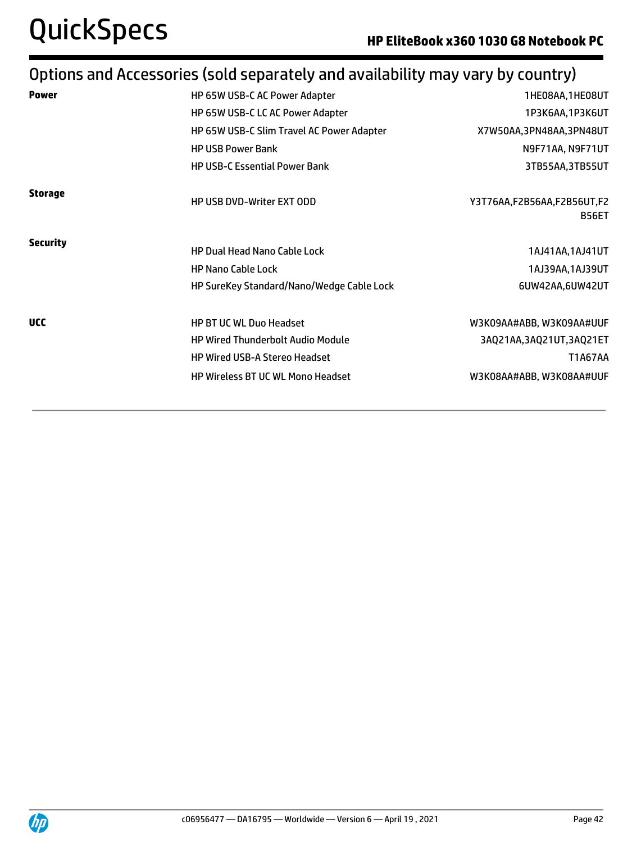# Options and Accessories (sold separately and availability may vary by country)

| <b>Power</b>    | HP 65W USB-C AC Power Adapter             | 1HE08AA,1HE08UT                            |
|-----------------|-------------------------------------------|--------------------------------------------|
|                 | HP 65W USB-C LC AC Power Adapter          | 1P3K6AA,1P3K6UT                            |
|                 | HP 65W USB-C Slim Travel AC Power Adapter | X7W50AA,3PN48AA,3PN48UT                    |
|                 | <b>HP USB Power Bank</b>                  | N9F71AA, N9F71UT                           |
|                 | <b>HP USB-C Essential Power Bank</b>      | 3TB55AA,3TB55UT                            |
| <b>Storage</b>  | <b>HP USB DVD-Writer EXT ODD</b>          | Y3T76AA,F2B56AA,F2B56UT,F2<br><b>B56ET</b> |
| <b>Security</b> | <b>HP Dual Head Nano Cable Lock</b>       | 1AJ41AA, 1AJ41UT                           |
|                 | <b>HP Nano Cable Lock</b>                 | 1AJ39AA, 1AJ39UT                           |
|                 | HP SureKey Standard/Nano/Wedge Cable Lock | 6UW42AA,6UW42UT                            |
| <b>UCC</b>      | <b>HP BT UC WL Duo Headset</b>            | W3K09AA#ABB, W3K09AA#UUF                   |
|                 | <b>HP Wired Thunderbolt Audio Module</b>  | 3AQ21AA,3AQ21UT,3AQ21ET                    |
|                 | <b>HP Wired USB-A Stereo Headset</b>      | T1A67AA                                    |
|                 | <b>HP Wireless BT UC WL Mono Headset</b>  | W3K08AA#ABB, W3K08AA#UUF                   |